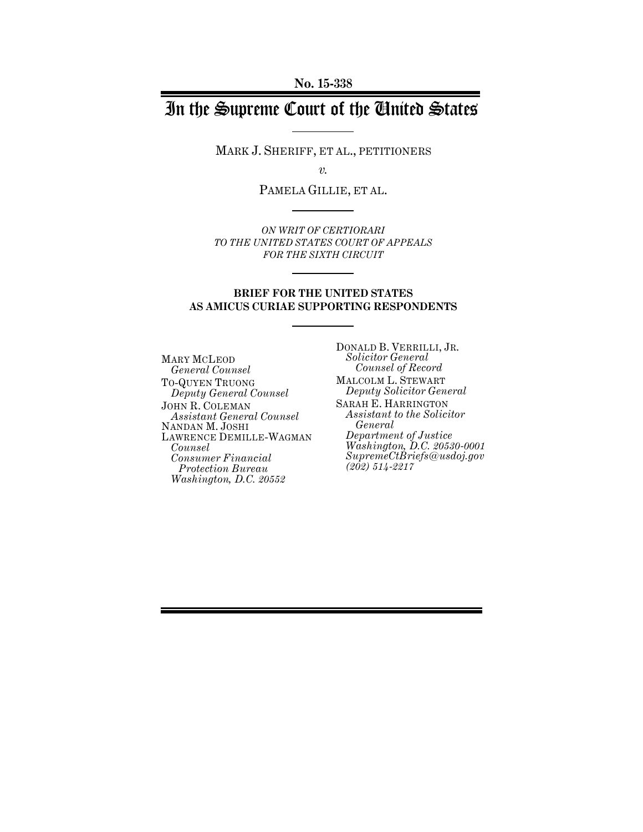# In the Supreme Court of the United States

MARK J. SHERIFF, ET AL., PETITIONERS

*v.*

PAMELA GILLIE, ET AL.

*ON WRIT OF CERTIORARI TO THE UNITED STATES COURT OF APPEALS FOR THE SIXTH CIRCUIT*

#### **BRIEF FOR THE UNITED STATES AS AMICUS CURIAE SUPPORTING RESPONDENTS**

MARY MCLEOD *General Counsel* TO-QUYEN TRUONG *Deputy General Counsel* JOHN R. COLEMAN *Assistant General Counsel* NANDAN M. JOSHI LAWRENCE DEMILLE-WAGMAN *Counsel Consumer Financial Protection Bureau Washington, D.C. 20552*

DONALD B. VERRILLI, JR. *Solicitor General Counsel of Record* MALCOLM L. STEWART *Deputy Solicitor General* SARAH E. HARRINGTON *Assistant to the Solicitor General Department of Justice Washington, D.C. 20530-0001 SupremeCtBriefs@usdoj.gov (202) 514-2217*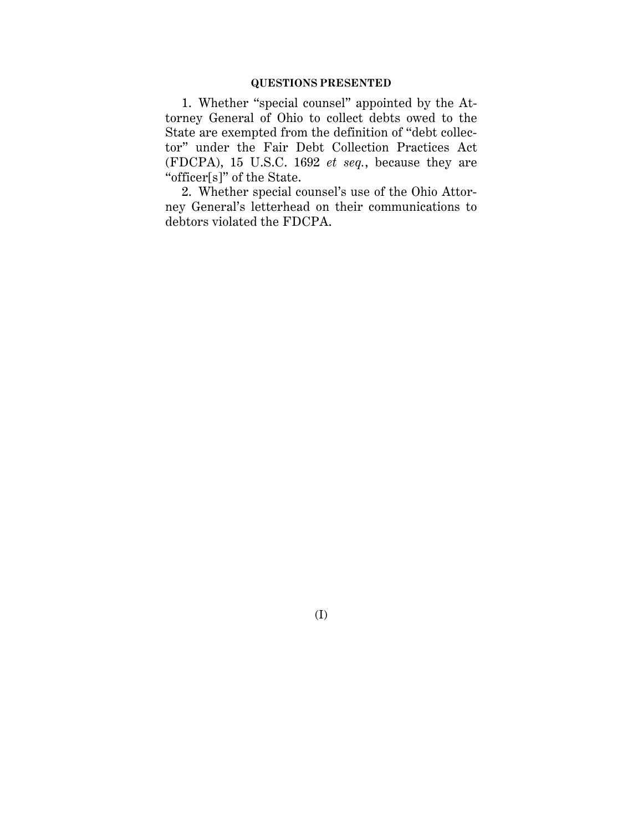#### **QUESTIONS PRESENTED**

1. Whether "special counsel" appointed by the Attorney General of Ohio to collect debts owed to the State are exempted from the definition of "debt collector" under the Fair Debt Collection Practices Act (FDCPA), 15 U.S.C. 1692 *et seq.*, because they are "officer[s]" of the State.

2. Whether special counsel's use of the Ohio Attorney General's letterhead on their communications to debtors violated the FDCPA.

(I)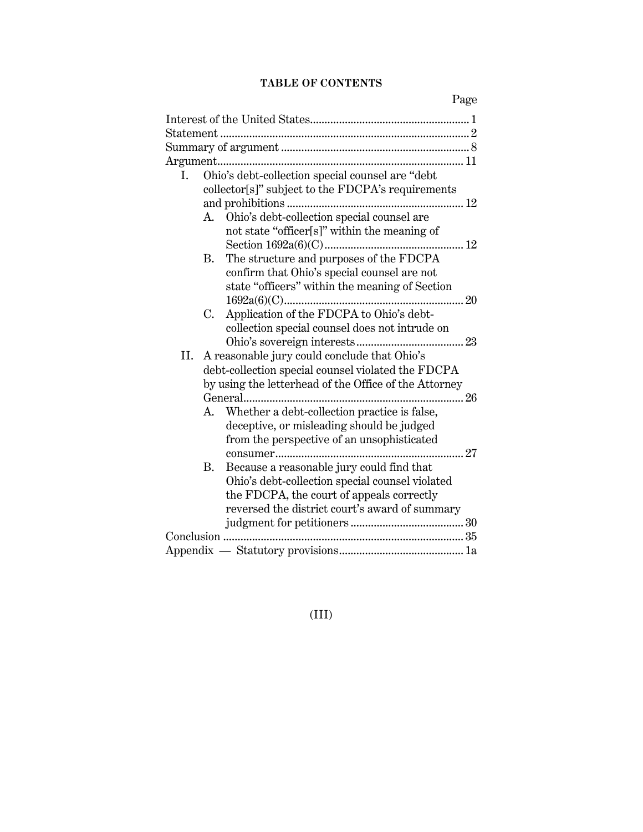## **TABLE OF CONTENTS**

Page

| Ohio's debt-collection special counsel are "debt<br>Ι. |  |  |  |  |
|--------------------------------------------------------|--|--|--|--|
| collector[s]" subject to the FDCPA's requirements      |  |  |  |  |
|                                                        |  |  |  |  |
| Ohio's debt-collection special counsel are<br>A.       |  |  |  |  |
| not state "officer[s]" within the meaning of           |  |  |  |  |
|                                                        |  |  |  |  |
| The structure and purposes of the FDCPA<br><b>B.</b>   |  |  |  |  |
| confirm that Ohio's special counsel are not            |  |  |  |  |
| state "officers" within the meaning of Section         |  |  |  |  |
|                                                        |  |  |  |  |
| Application of the FDCPA to Ohio's debt-<br>C.         |  |  |  |  |
| collection special counsel does not intrude on         |  |  |  |  |
|                                                        |  |  |  |  |
| II.<br>A reasonable jury could conclude that Ohio's    |  |  |  |  |
| debt-collection special counsel violated the FDCPA     |  |  |  |  |
| by using the letterhead of the Office of the Attorney  |  |  |  |  |
|                                                        |  |  |  |  |
| Whether a debt-collection practice is false,<br>A.     |  |  |  |  |
| deceptive, or misleading should be judged              |  |  |  |  |
| from the perspective of an unsophisticated             |  |  |  |  |
|                                                        |  |  |  |  |
| Because a reasonable jury could find that<br><b>B.</b> |  |  |  |  |
| Ohio's debt-collection special counsel violated        |  |  |  |  |
| the FDCPA, the court of appeals correctly              |  |  |  |  |
| reversed the district court's award of summary         |  |  |  |  |
|                                                        |  |  |  |  |
|                                                        |  |  |  |  |
|                                                        |  |  |  |  |

(III)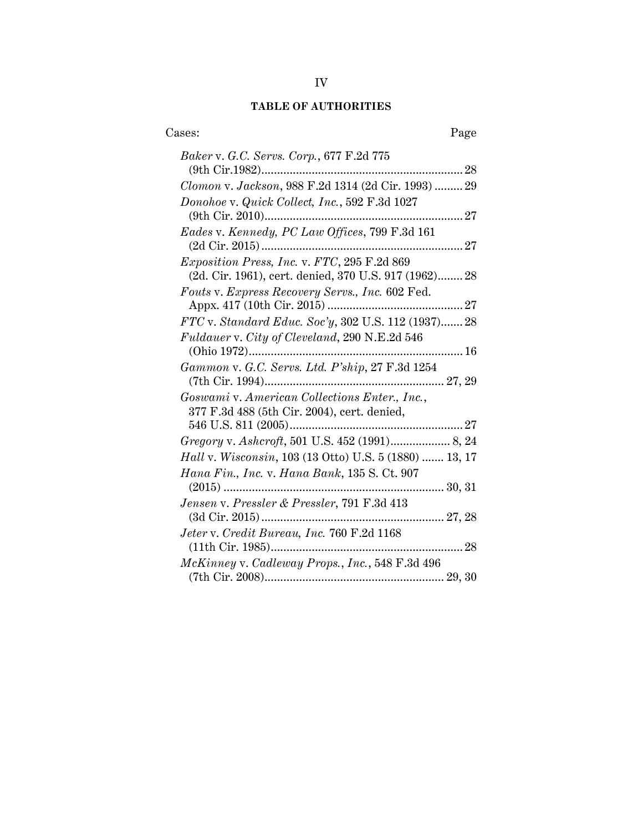# **TABLE OF AUTHORITIES**

| Cases:<br>Page                                         |
|--------------------------------------------------------|
| Baker v. G.C. Servs. Corp., 677 F.2d 775               |
| Clomon v. Jackson, 988 F.2d 1314 (2d Cir. 1993)  29    |
| Donohoe v. Quick Collect, Inc., 592 F.3d 1027          |
| Eades v. Kennedy, PC Law Offices, 799 F.3d 161         |
| Exposition Press, Inc. v. FTC, 295 F.2d 869            |
| (2d. Cir. 1961), cert. denied, 370 U.S. 917 (1962) 28  |
| Fouts v. Express Recovery Servs., Inc. 602 Fed.        |
|                                                        |
| FTC v. Standard Educ. Soc'y, 302 U.S. 112 (1937) 28    |
| Fuldauer v. City of Cleveland, 290 N.E.2d 546          |
| Gammon v. G.C. Servs. Ltd. P'ship, 27 F.3d 1254        |
| Goswami v. American Collections Enter., Inc.,          |
| 377 F.3d 488 (5th Cir. 2004), cert. denied,            |
|                                                        |
| Gregory v. Ashcroft, 501 U.S. 452 (1991) 8, 24         |
| Hall v. Wisconsin, 103 (13 Otto) U.S. 5 (1880)  13, 17 |
| Hana Fin., Inc. v. Hana Bank, 135 S. Ct. 907           |
| $(2015)$                                               |
| Jensen v. Pressler & Pressler, 791 F.3d 413            |
|                                                        |
| Jeter v. Credit Bureau, Inc. 760 F.2d 1168             |
| McKinney v. Cadleway Props., Inc., 548 F.3d 496        |
|                                                        |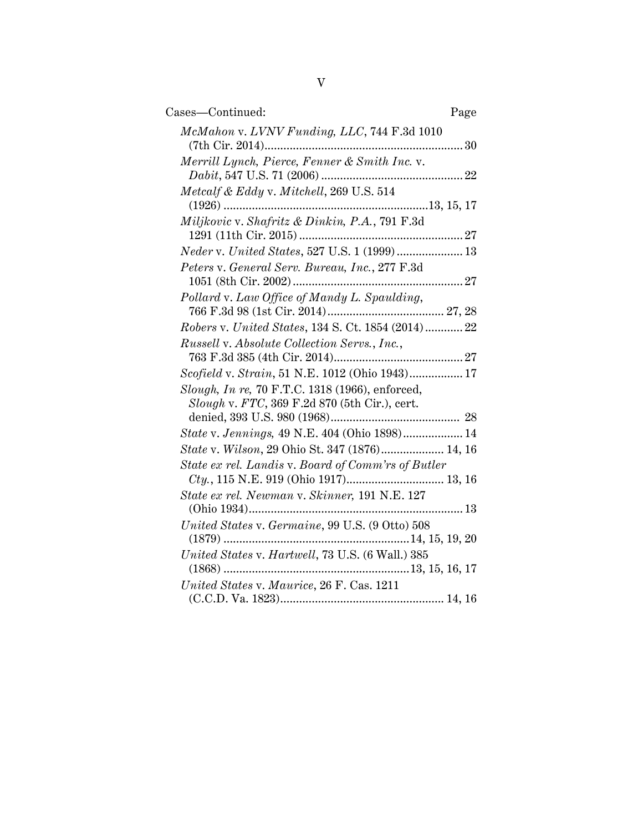| Cases—Continued:<br>Page                                                                         |
|--------------------------------------------------------------------------------------------------|
| McMahon v. LVNV Funding, LLC, 744 F.3d 1010                                                      |
| Merrill Lynch, Pierce, Fenner & Smith Inc. v.                                                    |
| Metcalf & Eddy v. Mitchell, 269 U.S. 514                                                         |
| Miljkovic v. Shafritz & Dinkin, P.A., 791 F.3d                                                   |
| Neder v. United States, 527 U.S. 1 (1999)  13                                                    |
| Peters v. General Serv. Bureau, Inc., 277 F.3d                                                   |
| Pollard v. Law Office of Mandy L. Spaulding,                                                     |
| Robers v. United States, 134 S. Ct. 1854 (2014)  22                                              |
| Russell v. Absolute Collection Servs., Inc.,                                                     |
| Scofield v. Strain, 51 N.E. 1012 (Ohio 1943) 17                                                  |
| Slough, In re, 70 F.T.C. 1318 (1966), enforced,<br>Slough v. FTC, 369 F.2d 870 (5th Cir.), cert. |
| State v. Jennings, 49 N.E. 404 (Ohio 1898) 14                                                    |
| State v. Wilson, 29 Ohio St. 347 (1876) 14, 16                                                   |
| State ex rel. Landis v. Board of Comm'rs of Butler                                               |
|                                                                                                  |
| State ex rel. Newman v. Skinner, 191 N.E. 127                                                    |
| United States v. Germaine, 99 U.S. (9 Otto) 508                                                  |
| United States v. Hartwell, 73 U.S. (6 Wall.) 385                                                 |
| United States v. Maurice, 26 F. Cas. 1211                                                        |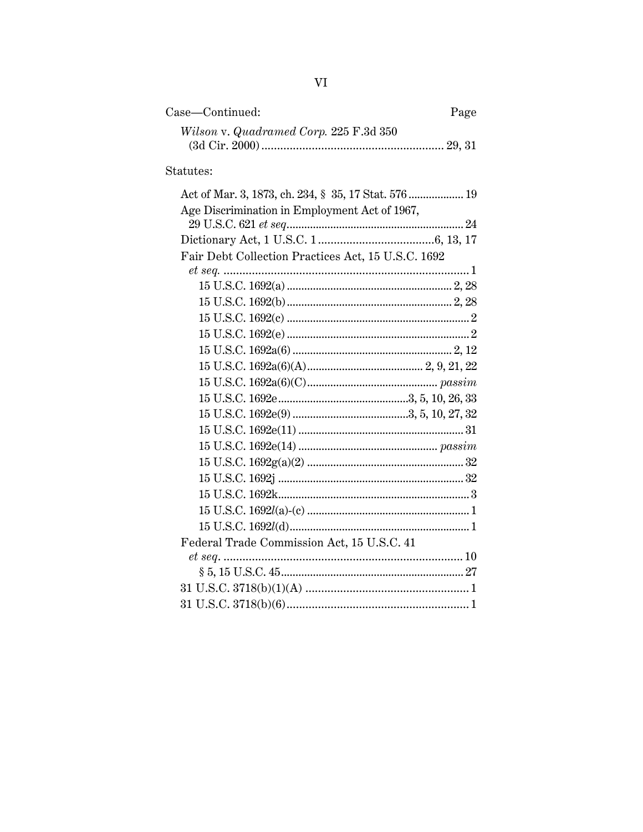| Case—Continued:                        | Page |
|----------------------------------------|------|
| Wilson v. Quadramed Corp. 225 F.3d 350 |      |
|                                        |      |

# Statutes:

| Act of Mar. 3, 1873, ch. 234, § 35, 17 Stat. 576  19 |
|------------------------------------------------------|
| Age Discrimination in Employment Act of 1967,        |
|                                                      |
|                                                      |
| Fair Debt Collection Practices Act, 15 U.S.C. 1692   |
|                                                      |
|                                                      |
|                                                      |
|                                                      |
|                                                      |
|                                                      |
|                                                      |
|                                                      |
|                                                      |
|                                                      |
|                                                      |
|                                                      |
|                                                      |
|                                                      |
|                                                      |
|                                                      |
|                                                      |
| Federal Trade Commission Act, 15 U.S.C. 41           |
|                                                      |
|                                                      |
|                                                      |
|                                                      |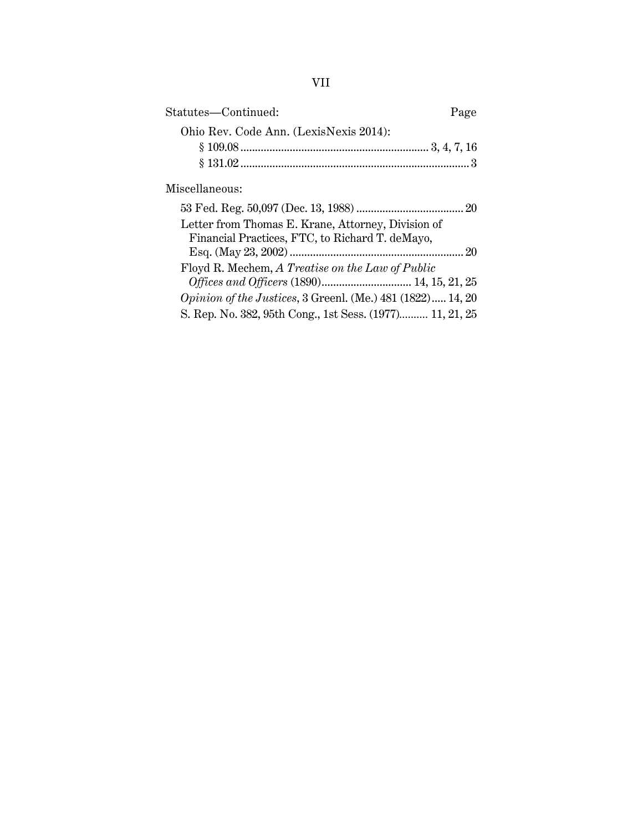| Statutes-Continued:                                                                                   | Page |
|-------------------------------------------------------------------------------------------------------|------|
| Ohio Rev. Code Ann. (LexisNexis 2014):                                                                |      |
|                                                                                                       |      |
|                                                                                                       |      |
| Miscellaneous:                                                                                        |      |
|                                                                                                       |      |
| Letter from Thomas E. Krane, Attorney, Division of<br>Financial Practices, FTC, to Richard T. deMayo, |      |
|                                                                                                       |      |
| Floyd R. Mechem, A Treatise on the Law of Public<br>Offices and Officers (1890) 14, 15, 21, 25        |      |
| Opinion of the Justices, 3 Greenl. (Me.) 481 (1822) 14, 20                                            |      |
| S. Rep. No. 382, 95th Cong., 1st Sess. (1977) 11, 21, 25                                              |      |
|                                                                                                       |      |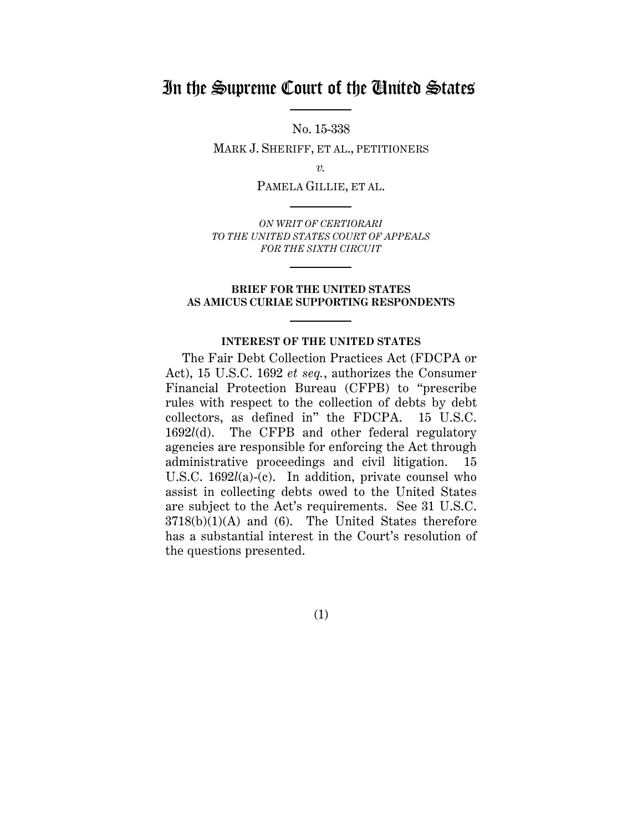# In the Supreme Court of the United States

No. 15-338

MARK J. SHERIFF, ET AL., PETITIONERS

*v.*

PAMELA GILLIE, ET AL.

*ON WRIT OF CERTIORARI TO THE UNITED STATES COURT OF APPEALS FOR THE SIXTH CIRCUIT*

#### **BRIEF FOR THE UNITED STATES AS AMICUS CURIAE SUPPORTING RESPONDENTS**

#### **INTEREST OF THE UNITED STATES**

The Fair Debt Collection Practices Act (FDCPA or Act), 15 U.S.C. 1692 *et seq.*, authorizes the Consumer Financial Protection Bureau (CFPB) to "prescribe rules with respect to the collection of debts by debt collectors, as defined in" the FDCPA. 15 U.S.C. 1692*l*(d). The CFPB and other federal regulatory agencies are responsible for enforcing the Act through administrative proceedings and civil litigation. 15 U.S.C. 1692*l*(a)-(c). In addition, private counsel who assist in collecting debts owed to the United States are subject to the Act's requirements. See 31 U.S.C.  $3718(b)(1)(A)$  and (6). The United States therefore has a substantial interest in the Court's resolution of the questions presented.

(1)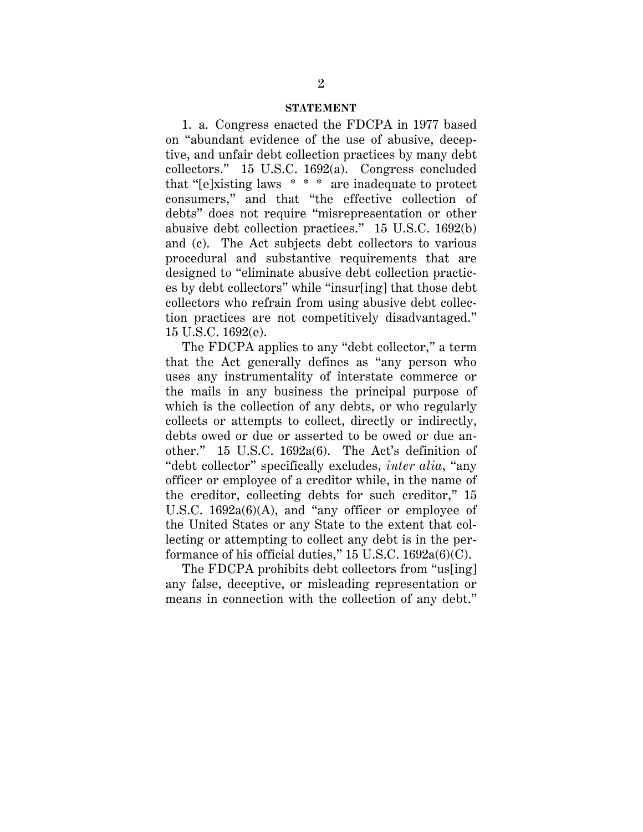#### **STATEMENT**

1. a. Congress enacted the FDCPA in 1977 based on "abundant evidence of the use of abusive, deceptive, and unfair debt collection practices by many debt collectors." 15 U.S.C. 1692(a). Congress concluded that "[e]xisting laws \* \* \* are inadequate to protect consumers," and that "the effective collection of debts" does not require "misrepresentation or other abusive debt collection practices." 15 U.S.C. 1692(b) and (c). The Act subjects debt collectors to various procedural and substantive requirements that are designed to "eliminate abusive debt collection practices by debt collectors" while "insur[ing] that those debt collectors who refrain from using abusive debt collection practices are not competitively disadvantaged." 15 U.S.C. 1692(e).

The FDCPA applies to any "debt collector," a term that the Act generally defines as "any person who uses any instrumentality of interstate commerce or the mails in any business the principal purpose of which is the collection of any debts, or who regularly collects or attempts to collect, directly or indirectly, debts owed or due or asserted to be owed or due another." 15 U.S.C. 1692a(6). The Act's definition of "debt collector" specifically excludes, *inter alia*, "any officer or employee of a creditor while, in the name of the creditor, collecting debts for such creditor," 15 U.S.C. 1692a(6)(A), and "any officer or employee of the United States or any State to the extent that collecting or attempting to collect any debt is in the performance of his official duties,"  $15$  U.S.C.  $1692a(6)(C)$ .

The FDCPA prohibits debt collectors from "us[ing] any false, deceptive, or misleading representation or means in connection with the collection of any debt."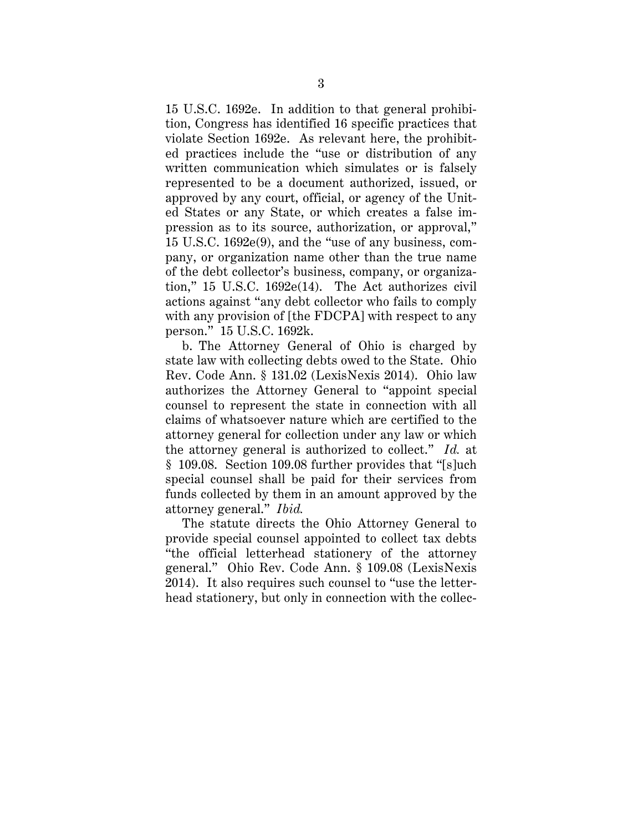15 U.S.C. 1692e. In addition to that general prohibition, Congress has identified 16 specific practices that violate Section 1692e. As relevant here, the prohibited practices include the "use or distribution of any written communication which simulates or is falsely represented to be a document authorized, issued, or approved by any court, official, or agency of the United States or any State, or which creates a false impression as to its source, authorization, or approval," 15 U.S.C. 1692e(9), and the "use of any business, company, or organization name other than the true name of the debt collector's business, company, or organization," 15 U.S.C. 1692e(14). The Act authorizes civil actions against "any debt collector who fails to comply with any provision of [the FDCPA] with respect to any person." 15 U.S.C. 1692k.

b. The Attorney General of Ohio is charged by state law with collecting debts owed to the State. Ohio Rev. Code Ann. § 131.02 (LexisNexis 2014). Ohio law authorizes the Attorney General to "appoint special counsel to represent the state in connection with all claims of whatsoever nature which are certified to the attorney general for collection under any law or which the attorney general is authorized to collect." *Id.* at § 109.08. Section 109.08 further provides that "[s]uch special counsel shall be paid for their services from funds collected by them in an amount approved by the attorney general." *Ibid.*

The statute directs the Ohio Attorney General to provide special counsel appointed to collect tax debts "the official letterhead stationery of the attorney general." Ohio Rev. Code Ann. § 109.08 (LexisNexis 2014). It also requires such counsel to "use the letterhead stationery, but only in connection with the collec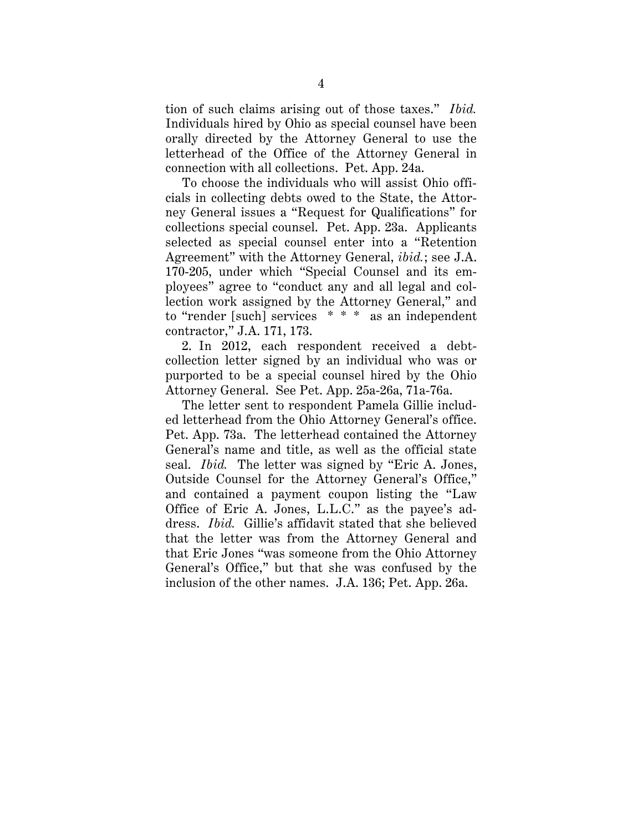tion of such claims arising out of those taxes." *Ibid.* Individuals hired by Ohio as special counsel have been orally directed by the Attorney General to use the letterhead of the Office of the Attorney General in connection with all collections. Pet. App. 24a.

To choose the individuals who will assist Ohio officials in collecting debts owed to the State, the Attorney General issues a "Request for Qualifications" for collections special counsel. Pet. App. 23a. Applicants selected as special counsel enter into a "Retention Agreement" with the Attorney General, *ibid.*; see J.A. 170-205, under which "Special Counsel and its employees" agree to "conduct any and all legal and collection work assigned by the Attorney General," and to "render [such] services \* \* \* as an independent contractor," J.A. 171, 173.

2. In 2012, each respondent received a debtcollection letter signed by an individual who was or purported to be a special counsel hired by the Ohio Attorney General. See Pet. App. 25a-26a, 71a-76a.

The letter sent to respondent Pamela Gillie included letterhead from the Ohio Attorney General's office. Pet. App. 73a. The letterhead contained the Attorney General's name and title, as well as the official state seal. *Ibid.* The letter was signed by "Eric A. Jones, Outside Counsel for the Attorney General's Office," and contained a payment coupon listing the "Law Office of Eric A. Jones, L.L.C." as the payee's address. *Ibid.* Gillie's affidavit stated that she believed that the letter was from the Attorney General and that Eric Jones "was someone from the Ohio Attorney General's Office," but that she was confused by the inclusion of the other names. J.A. 136; Pet. App. 26a.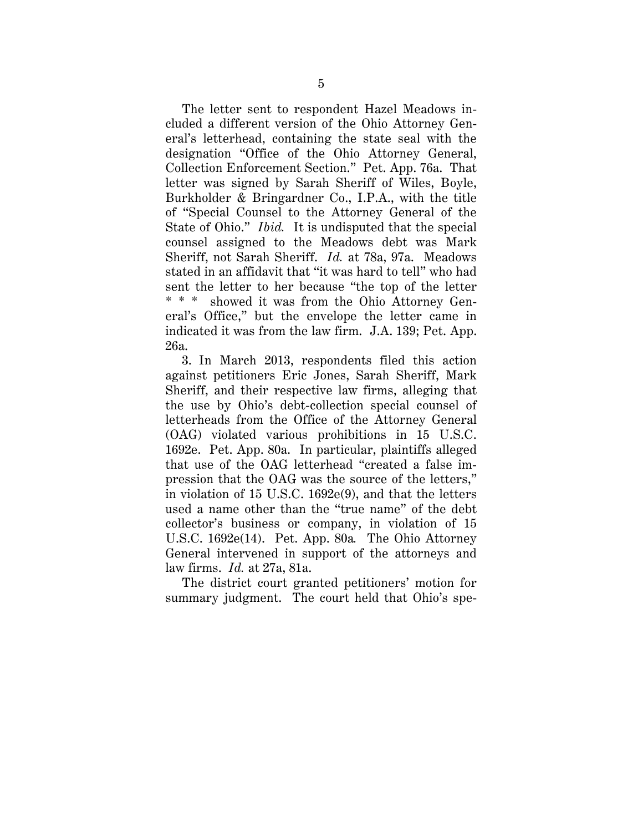The letter sent to respondent Hazel Meadows included a different version of the Ohio Attorney General's letterhead, containing the state seal with the designation "Office of the Ohio Attorney General, Collection Enforcement Section." Pet. App. 76a. That letter was signed by Sarah Sheriff of Wiles, Boyle, Burkholder & Bringardner Co., I.P.A., with the title of "Special Counsel to the Attorney General of the State of Ohio." *Ibid.* It is undisputed that the special counsel assigned to the Meadows debt was Mark Sheriff, not Sarah Sheriff. *Id.* at 78a, 97a. Meadows stated in an affidavit that "it was hard to tell" who had sent the letter to her because "the top of the letter \* \* \* showed it was from the Ohio Attorney General's Office," but the envelope the letter came in indicated it was from the law firm. J.A. 139; Pet. App. 26a.

3. In March 2013, respondents filed this action against petitioners Eric Jones, Sarah Sheriff, Mark Sheriff, and their respective law firms, alleging that the use by Ohio's debt-collection special counsel of letterheads from the Office of the Attorney General (OAG) violated various prohibitions in 15 U.S.C. 1692e. Pet. App. 80a. In particular, plaintiffs alleged that use of the OAG letterhead "created a false impression that the OAG was the source of the letters," in violation of 15 U.S.C. 1692e(9), and that the letters used a name other than the "true name" of the debt collector's business or company, in violation of 15 U.S.C. 1692e(14). Pet. App. 80a*.* The Ohio Attorney General intervened in support of the attorneys and law firms. *Id.* at 27a, 81a.

The district court granted petitioners' motion for summary judgment. The court held that Ohio's spe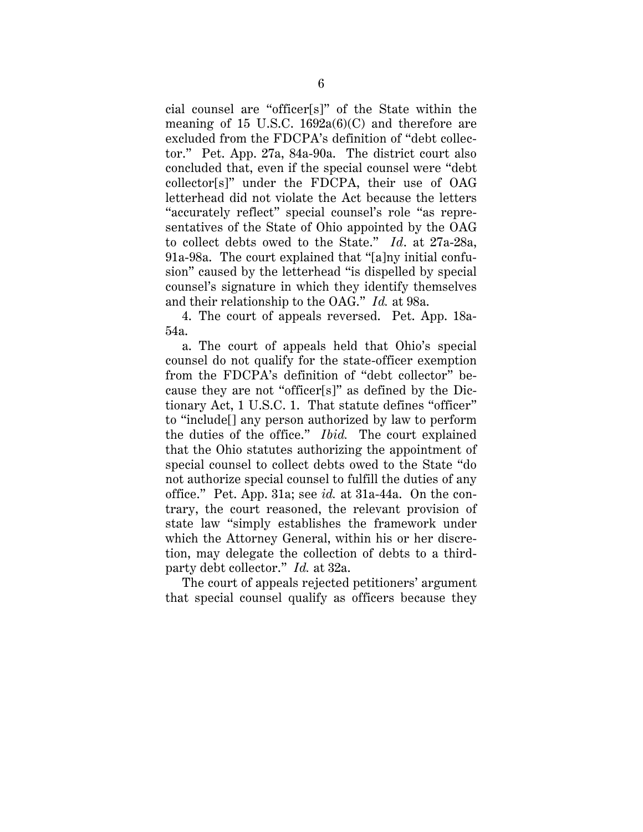cial counsel are "officer[s]" of the State within the meaning of 15 U.S.C.  $1692a(6)(C)$  and therefore are excluded from the FDCPA's definition of "debt collector." Pet. App. 27a, 84a-90a. The district court also concluded that, even if the special counsel were "debt collector[s]" under the FDCPA, their use of OAG letterhead did not violate the Act because the letters "accurately reflect" special counsel's role "as representatives of the State of Ohio appointed by the OAG to collect debts owed to the State." *Id*. at 27a-28a, 91a-98a. The court explained that "[a]ny initial confusion" caused by the letterhead "is dispelled by special counsel's signature in which they identify themselves and their relationship to the OAG." *Id.* at 98a.

4. The court of appeals reversed. Pet. App. 18a-54a.

a. The court of appeals held that Ohio's special counsel do not qualify for the state-officer exemption from the FDCPA's definition of "debt collector" because they are not "officer[s]" as defined by the Dictionary Act, 1 U.S.C. 1. That statute defines "officer" to "include[] any person authorized by law to perform the duties of the office." *Ibid.* The court explained that the Ohio statutes authorizing the appointment of special counsel to collect debts owed to the State "do not authorize special counsel to fulfill the duties of any office." Pet. App. 31a; see *id.* at 31a-44a. On the contrary, the court reasoned, the relevant provision of state law "simply establishes the framework under which the Attorney General, within his or her discretion, may delegate the collection of debts to a thirdparty debt collector." *Id.* at 32a.

The court of appeals rejected petitioners' argument that special counsel qualify as officers because they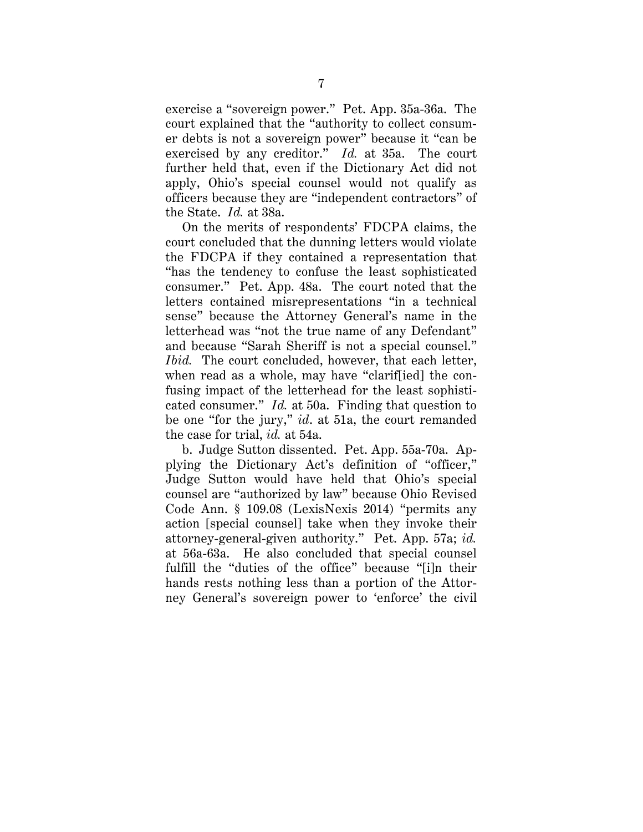exercise a "sovereign power." Pet. App. 35a-36a. The court explained that the "authority to collect consumer debts is not a sovereign power" because it "can be exercised by any creditor." *Id.* at 35a. The court further held that, even if the Dictionary Act did not apply, Ohio's special counsel would not qualify as officers because they are "independent contractors" of the State. *Id.* at 38a.

On the merits of respondents' FDCPA claims, the court concluded that the dunning letters would violate the FDCPA if they contained a representation that "has the tendency to confuse the least sophisticated consumer." Pet. App. 48a. The court noted that the letters contained misrepresentations "in a technical sense" because the Attorney General's name in the letterhead was "not the true name of any Defendant" and because "Sarah Sheriff is not a special counsel." *Ibid.* The court concluded, however, that each letter, when read as a whole, may have "clarif[ied] the confusing impact of the letterhead for the least sophisticated consumer." *Id.* at 50a. Finding that question to be one "for the jury," *id*. at 51a, the court remanded the case for trial, *id.* at 54a.

b. Judge Sutton dissented. Pet. App. 55a-70a. Applying the Dictionary Act's definition of "officer," Judge Sutton would have held that Ohio's special counsel are "authorized by law" because Ohio Revised Code Ann. § 109.08 (LexisNexis 2014) "permits any action [special counsel] take when they invoke their attorney-general-given authority." Pet. App. 57a; *id.* at 56a-63a. He also concluded that special counsel fulfill the "duties of the office" because "[i]n their hands rests nothing less than a portion of the Attorney General's sovereign power to 'enforce' the civil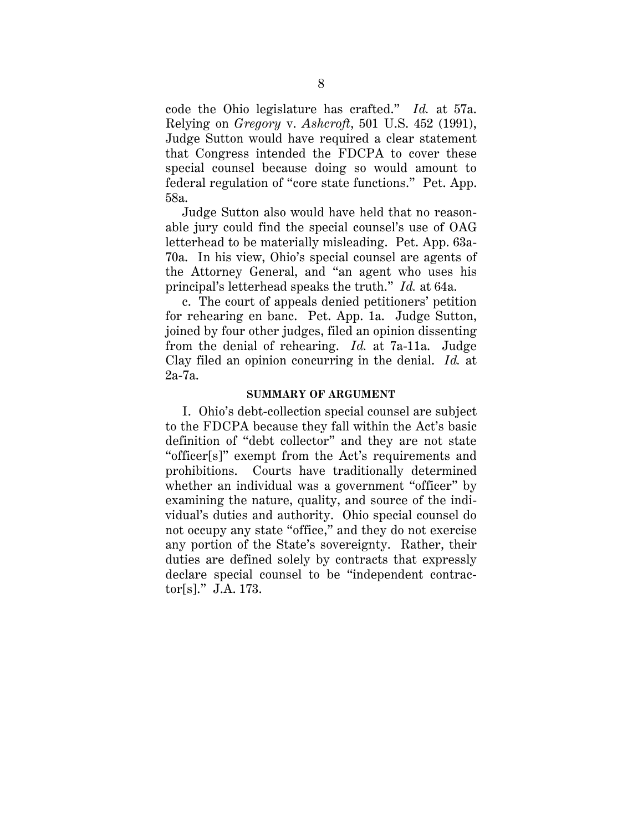code the Ohio legislature has crafted." *Id.* at 57a. Relying on *Gregory* v. *Ashcroft*, 501 U.S. 452 (1991), Judge Sutton would have required a clear statement that Congress intended the FDCPA to cover these special counsel because doing so would amount to federal regulation of "core state functions." Pet. App. 58a.

Judge Sutton also would have held that no reasonable jury could find the special counsel's use of OAG letterhead to be materially misleading. Pet. App. 63a-70a. In his view, Ohio's special counsel are agents of the Attorney General, and "an agent who uses his principal's letterhead speaks the truth." *Id.* at 64a.

c. The court of appeals denied petitioners' petition for rehearing en banc. Pet. App. 1a. Judge Sutton, joined by four other judges, filed an opinion dissenting from the denial of rehearing. *Id.* at 7a-11a. Judge Clay filed an opinion concurring in the denial. *Id.* at 2a-7a.

#### **SUMMARY OF ARGUMENT**

I. Ohio's debt-collection special counsel are subject to the FDCPA because they fall within the Act's basic definition of "debt collector" and they are not state "officer[s]" exempt from the Act's requirements and prohibitions. Courts have traditionally determined whether an individual was a government "officer" by examining the nature, quality, and source of the individual's duties and authority. Ohio special counsel do not occupy any state "office," and they do not exercise any portion of the State's sovereignty. Rather, their duties are defined solely by contracts that expressly declare special counsel to be "independent contractor[s]." J.A. 173.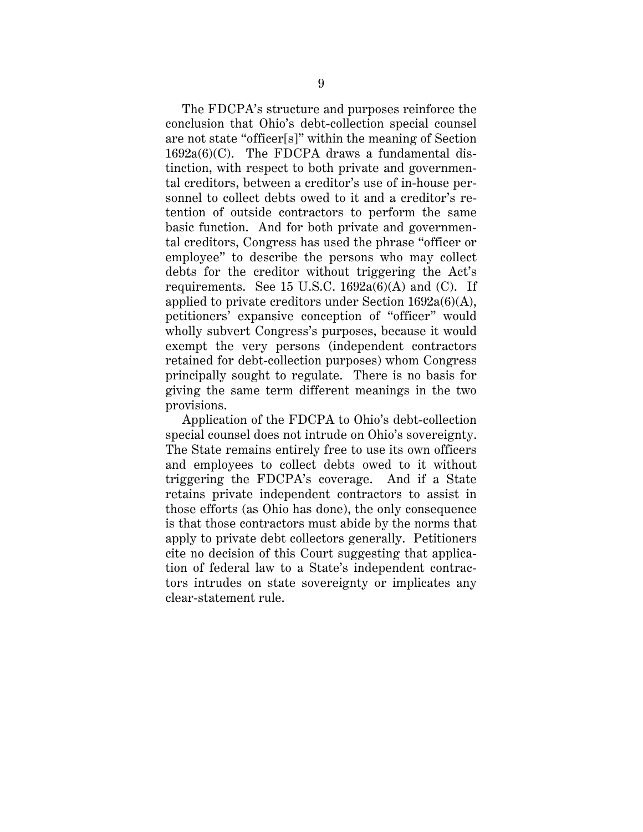The FDCPA's structure and purposes reinforce the conclusion that Ohio's debt-collection special counsel are not state "officer[s]" within the meaning of Section  $1692a(6)(C)$ . The FDCPA draws a fundamental distinction, with respect to both private and governmental creditors, between a creditor's use of in-house personnel to collect debts owed to it and a creditor's retention of outside contractors to perform the same basic function. And for both private and governmental creditors, Congress has used the phrase "officer or employee" to describe the persons who may collect debts for the creditor without triggering the Act's requirements. See 15 U.S.C.  $1692a(6)(A)$  and (C). If applied to private creditors under Section 1692a(6)(A), petitioners' expansive conception of "officer" would wholly subvert Congress's purposes, because it would exempt the very persons (independent contractors retained for debt-collection purposes) whom Congress principally sought to regulate. There is no basis for giving the same term different meanings in the two provisions.

Application of the FDCPA to Ohio's debt-collection special counsel does not intrude on Ohio's sovereignty. The State remains entirely free to use its own officers and employees to collect debts owed to it without triggering the FDCPA's coverage. And if a State retains private independent contractors to assist in those efforts (as Ohio has done), the only consequence is that those contractors must abide by the norms that apply to private debt collectors generally. Petitioners cite no decision of this Court suggesting that application of federal law to a State's independent contractors intrudes on state sovereignty or implicates any clear-statement rule.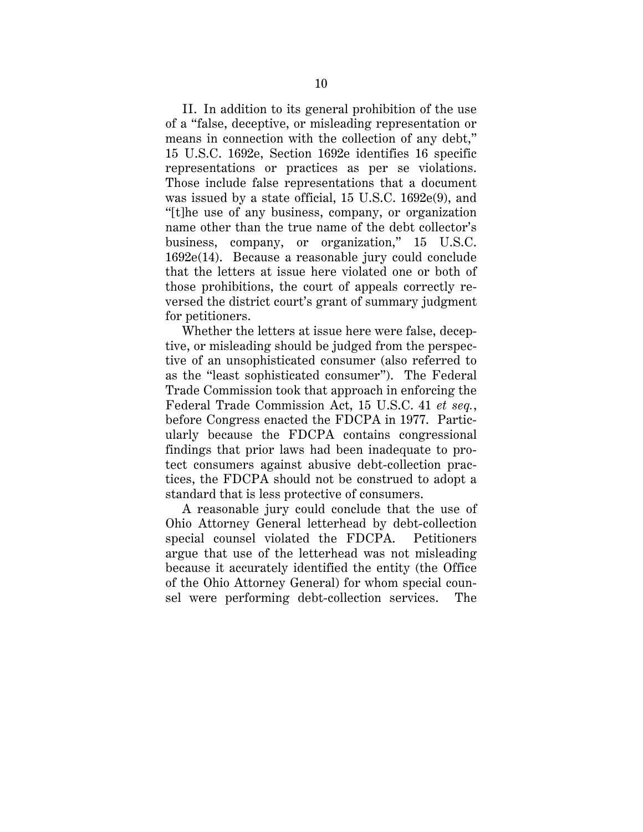II. In addition to its general prohibition of the use of a "false, deceptive, or misleading representation or means in connection with the collection of any debt," 15 U.S.C. 1692e, Section 1692e identifies 16 specific representations or practices as per se violations. Those include false representations that a document was issued by a state official, 15 U.S.C. 1692e(9), and "[t]he use of any business, company, or organization name other than the true name of the debt collector's business, company, or organization," 15 U.S.C. 1692e(14). Because a reasonable jury could conclude that the letters at issue here violated one or both of those prohibitions, the court of appeals correctly reversed the district court's grant of summary judgment for petitioners.

Whether the letters at issue here were false, deceptive, or misleading should be judged from the perspective of an unsophisticated consumer (also referred to as the "least sophisticated consumer"). The Federal Trade Commission took that approach in enforcing the Federal Trade Commission Act, 15 U.S.C. 41 *et seq.*, before Congress enacted the FDCPA in 1977. Particularly because the FDCPA contains congressional findings that prior laws had been inadequate to protect consumers against abusive debt-collection practices, the FDCPA should not be construed to adopt a standard that is less protective of consumers.

A reasonable jury could conclude that the use of Ohio Attorney General letterhead by debt-collection special counsel violated the FDCPA. Petitioners argue that use of the letterhead was not misleading because it accurately identified the entity (the Office of the Ohio Attorney General) for whom special counsel were performing debt-collection services. The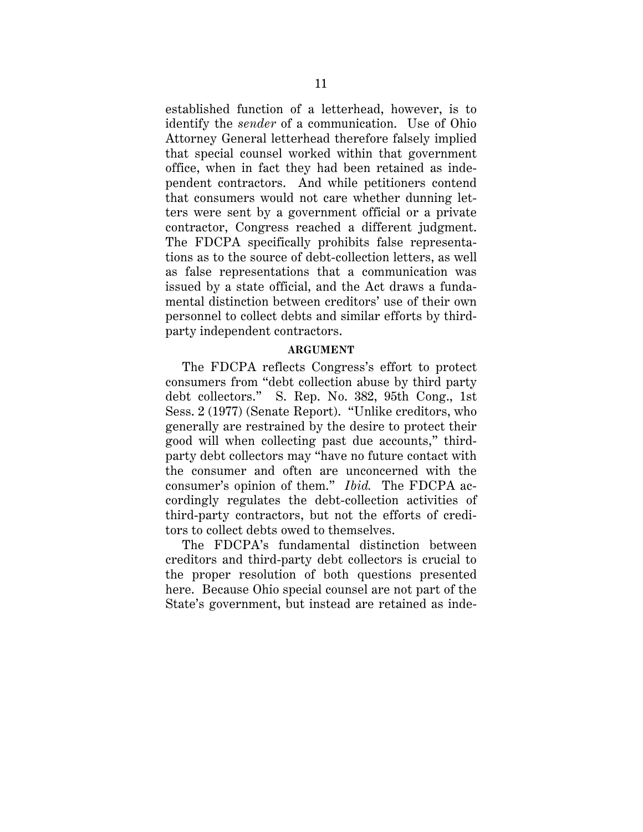established function of a letterhead, however, is to identify the *sender* of a communication. Use of Ohio Attorney General letterhead therefore falsely implied that special counsel worked within that government office, when in fact they had been retained as independent contractors. And while petitioners contend that consumers would not care whether dunning letters were sent by a government official or a private contractor, Congress reached a different judgment. The FDCPA specifically prohibits false representations as to the source of debt-collection letters, as well as false representations that a communication was issued by a state official, and the Act draws a fundamental distinction between creditors' use of their own personnel to collect debts and similar efforts by thirdparty independent contractors.

#### **ARGUMENT**

The FDCPA reflects Congress's effort to protect consumers from "debt collection abuse by third party debt collectors." S. Rep. No. 382, 95th Cong., 1st Sess. 2 (1977) (Senate Report). "Unlike creditors, who generally are restrained by the desire to protect their good will when collecting past due accounts," thirdparty debt collectors may "have no future contact with the consumer and often are unconcerned with the consumer's opinion of them." *Ibid.* The FDCPA accordingly regulates the debt-collection activities of third-party contractors, but not the efforts of creditors to collect debts owed to themselves.

The FDCPA's fundamental distinction between creditors and third-party debt collectors is crucial to the proper resolution of both questions presented here. Because Ohio special counsel are not part of the State's government, but instead are retained as inde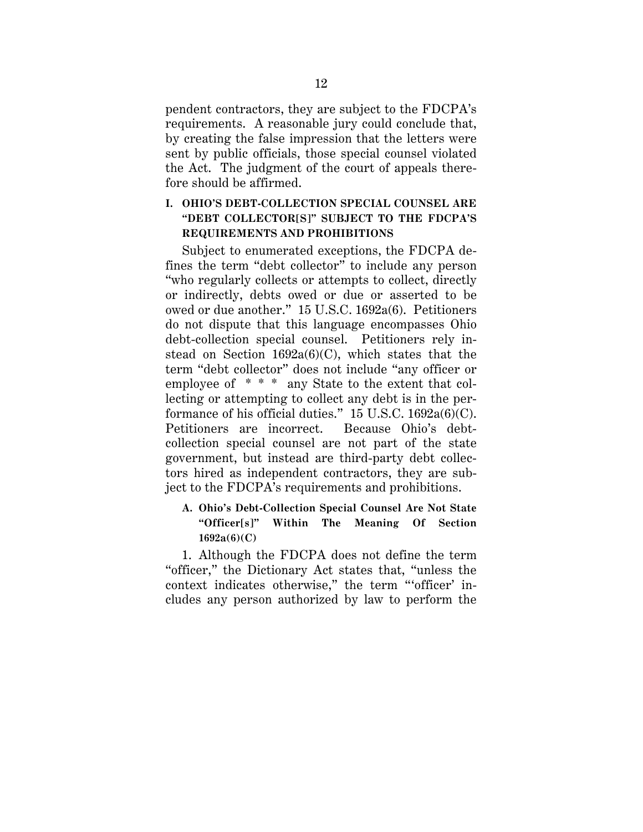pendent contractors, they are subject to the FDCPA's requirements. A reasonable jury could conclude that, by creating the false impression that the letters were sent by public officials, those special counsel violated the Act. The judgment of the court of appeals therefore should be affirmed.

# **I. OHIO'S DEBT-COLLECTION SPECIAL COUNSEL ARE "DEBT COLLECTOR[S]" SUBJECT TO THE FDCPA'S REQUIREMENTS AND PROHIBITIONS**

Subject to enumerated exceptions, the FDCPA defines the term "debt collector" to include any person "who regularly collects or attempts to collect, directly or indirectly, debts owed or due or asserted to be owed or due another." 15 U.S.C. 1692a(6). Petitioners do not dispute that this language encompasses Ohio debt-collection special counsel. Petitioners rely instead on Section  $1692a(6)(C)$ , which states that the term "debt collector" does not include "any officer or employee of \* \* \* any State to the extent that collecting or attempting to collect any debt is in the performance of his official duties."  $15$  U.S.C.  $1692a(6)(C)$ . Petitioners are incorrect. Because Ohio's debtcollection special counsel are not part of the state government, but instead are third-party debt collectors hired as independent contractors, they are subject to the FDCPA's requirements and prohibitions.

# **A. Ohio's Debt-Collection Special Counsel Are Not State "Officer[s]" Within The Meaning Of Section 1692a(6)(C)**

1. Although the FDCPA does not define the term "officer," the Dictionary Act states that, "unless the context indicates otherwise," the term "'officer' includes any person authorized by law to perform the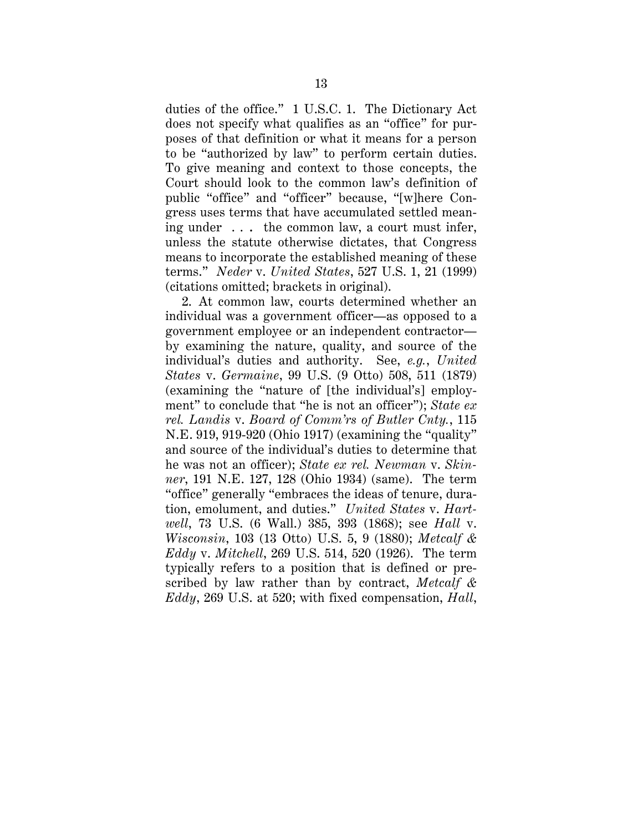duties of the office." 1 U.S.C. 1. The Dictionary Act does not specify what qualifies as an "office" for purposes of that definition or what it means for a person to be "authorized by law" to perform certain duties. To give meaning and context to those concepts, the Court should look to the common law's definition of public "office" and "officer" because, "[w]here Congress uses terms that have accumulated settled meaning under  $\ldots$  the common law, a court must infer, unless the statute otherwise dictates, that Congress means to incorporate the established meaning of these terms." *Neder* v. *United States*, 527 U.S. 1, 21 (1999) (citations omitted; brackets in original).

2. At common law, courts determined whether an individual was a government officer—as opposed to a government employee or an independent contractor by examining the nature, quality, and source of the individual's duties and authority. See, *e.g.*, *United States* v. *Germaine*, 99 U.S. (9 Otto) 508, 511 (1879) (examining the "nature of [the individual's] employment" to conclude that "he is not an officer"); *State ex rel. Landis* v. *Board of Comm'rs of Butler Cnty.*, 115 N.E. 919, 919-920 (Ohio 1917) (examining the "quality" and source of the individual's duties to determine that he was not an officer); *State ex rel. Newman* v. *Skinner*, 191 N.E. 127, 128 (Ohio 1934) (same). The term "office" generally "embraces the ideas of tenure, duration, emolument, and duties." *United States* v. *Hartwell*, 73 U.S. (6 Wall.) 385, 393 (1868); see *Hall* v. *Wisconsin*, 103 (13 Otto) U.S. 5, 9 (1880); *Metcalf & Eddy* v. *Mitchell*, 269 U.S. 514, 520 (1926). The term typically refers to a position that is defined or prescribed by law rather than by contract, *Metcalf & Eddy*, 269 U.S. at 520; with fixed compensation, *Hall*,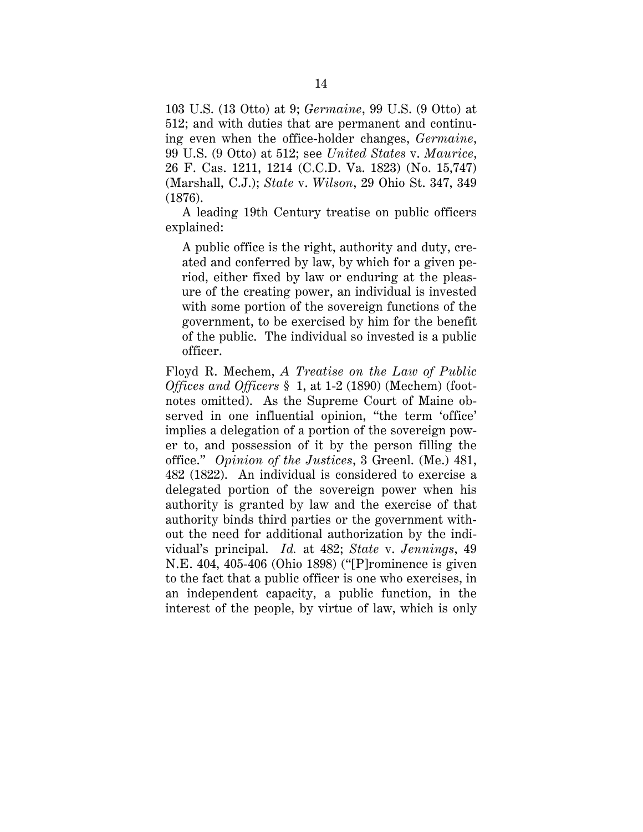103 U.S. (13 Otto) at 9; *Germaine*, 99 U.S. (9 Otto) at 512; and with duties that are permanent and continuing even when the office-holder changes, *Germaine*, 99 U.S. (9 Otto) at 512; see *United States* v. *Maurice*, 26 F. Cas. 1211, 1214 (C.C.D. Va. 1823) (No. 15,747) (Marshall, C.J.); *State* v. *Wilson*, 29 Ohio St. 347, 349 (1876).

A leading 19th Century treatise on public officers explained:

A public office is the right, authority and duty, created and conferred by law, by which for a given period, either fixed by law or enduring at the pleasure of the creating power, an individual is invested with some portion of the sovereign functions of the government, to be exercised by him for the benefit of the public. The individual so invested is a public officer.

Floyd R. Mechem, *A Treatise on the Law of Public Offices and Officers* § 1, at 1-2 (1890) (Mechem) (footnotes omitted). As the Supreme Court of Maine observed in one influential opinion, "the term 'office' implies a delegation of a portion of the sovereign power to, and possession of it by the person filling the office." *Opinion of the Justices*, 3 Greenl. (Me.) 481, 482 (1822). An individual is considered to exercise a delegated portion of the sovereign power when his authority is granted by law and the exercise of that authority binds third parties or the government without the need for additional authorization by the individual's principal. *Id.* at 482; *State* v. *Jennings*, 49 N.E. 404, 405-406 (Ohio 1898) ("[P]rominence is given to the fact that a public officer is one who exercises, in an independent capacity, a public function, in the interest of the people, by virtue of law, which is only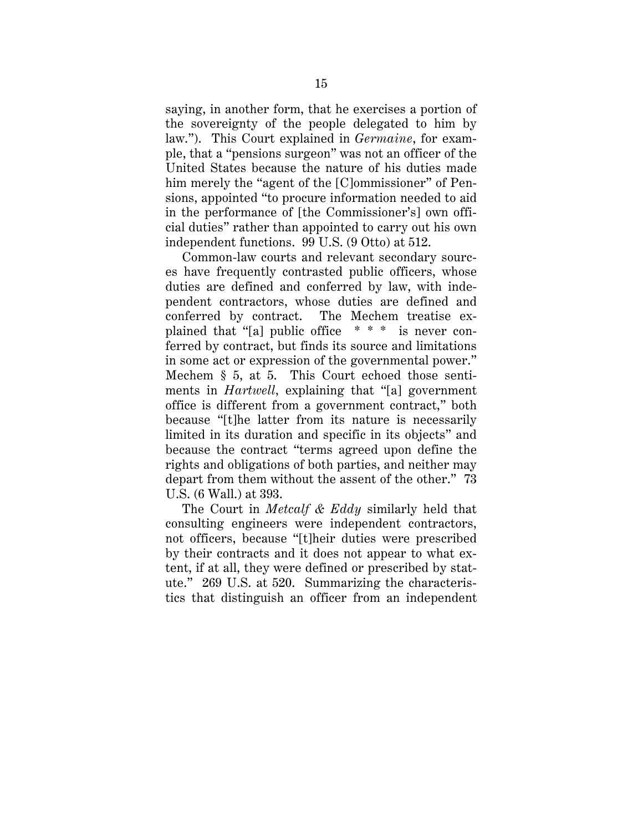saying, in another form, that he exercises a portion of the sovereignty of the people delegated to him by law."). This Court explained in *Germaine*, for example, that a "pensions surgeon" was not an officer of the United States because the nature of his duties made him merely the "agent of the [C]ommissioner" of Pensions, appointed "to procure information needed to aid in the performance of [the Commissioner's] own official duties" rather than appointed to carry out his own independent functions. 99 U.S. (9 Otto) at 512.

Common-law courts and relevant secondary sources have frequently contrasted public officers, whose duties are defined and conferred by law, with independent contractors, whose duties are defined and conferred by contract. The Mechem treatise explained that "[a] public office \* \* \* is never conferred by contract, but finds its source and limitations in some act or expression of the governmental power." Mechem § 5, at 5. This Court echoed those sentiments in *Hartwell*, explaining that "[a] government office is different from a government contract," both because "[t]he latter from its nature is necessarily limited in its duration and specific in its objects" and because the contract "terms agreed upon define the rights and obligations of both parties, and neither may depart from them without the assent of the other." 73 U.S. (6 Wall.) at 393.

The Court in *Metcalf & Eddy* similarly held that consulting engineers were independent contractors, not officers, because "[t]heir duties were prescribed by their contracts and it does not appear to what extent, if at all, they were defined or prescribed by statute." 269 U.S. at 520. Summarizing the characteristics that distinguish an officer from an independent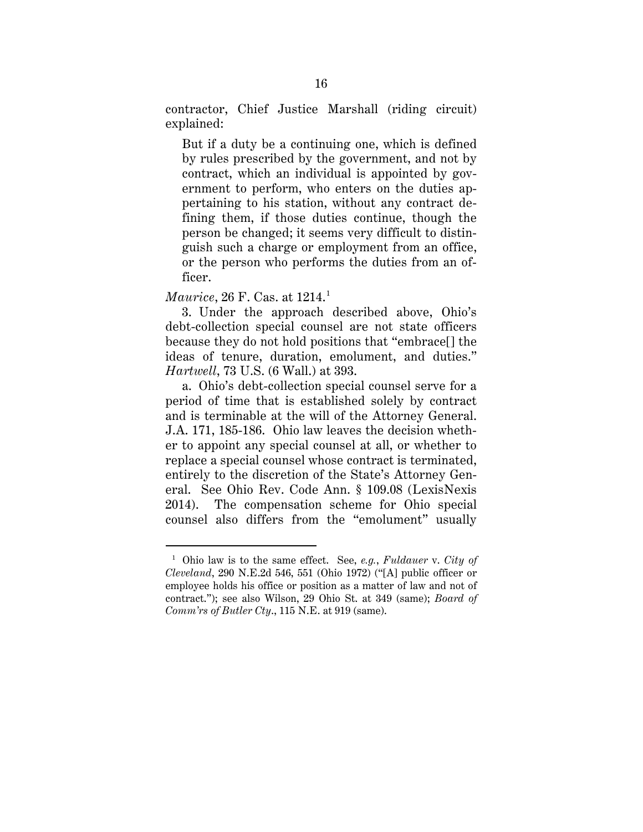contractor, Chief Justice Marshall (riding circuit) explained:

But if a duty be a continuing one, which is defined by rules prescribed by the government, and not by contract, which an individual is appointed by government to perform, who enters on the duties appertaining to his station, without any contract defining them, if those duties continue, though the person be changed; it seems very difficult to distinguish such a charge or employment from an office, or the person who performs the duties from an officer.

*Maurice*, 26 F. Cas. at 1214.<sup>1</sup>

3. Under the approach described above, Ohio's debt-collection special counsel are not state officers because they do not hold positions that "embrace[] the ideas of tenure, duration, emolument, and duties." *Hartwell*, 73 U.S. (6 Wall.) at 393.

a. Ohio's debt-collection special counsel serve for a period of time that is established solely by contract and is terminable at the will of the Attorney General. J.A. 171, 185-186. Ohio law leaves the decision whether to appoint any special counsel at all, or whether to replace a special counsel whose contract is terminated, entirely to the discretion of the State's Attorney General. See Ohio Rev. Code Ann. § 109.08 (LexisNexis 2014). The compensation scheme for Ohio special counsel also differs from the "emolument" usually

 <sup>1</sup> Ohio law is to the same effect. See, *e.g.*, *Fuldauer* v. *City of Cleveland*, 290 N.E.2d 546, 551 (Ohio 1972) ("[A] public officer or employee holds his office or position as a matter of law and not of contract."); see also Wilson, 29 Ohio St. at 349 (same); *Board of Comm'rs of Butler Cty*., 115 N.E. at 919 (same).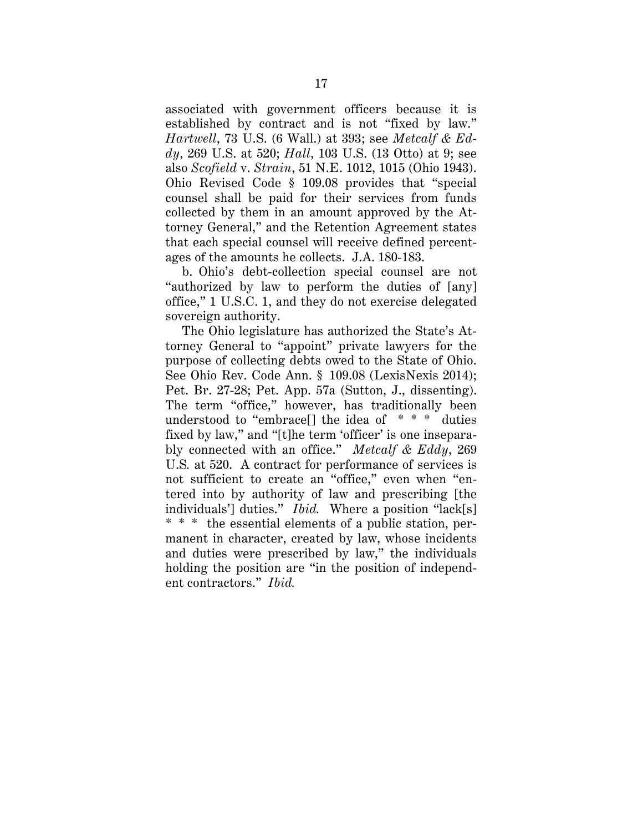associated with government officers because it is established by contract and is not "fixed by law." *Hartwell*, 73 U.S. (6 Wall.) at 393; see *Metcalf & Eddy*, 269 U.S. at 520; *Hall*, 103 U.S. (13 Otto) at 9; see also *Scofield* v. *Strain*, 51 N.E. 1012, 1015 (Ohio 1943). Ohio Revised Code § 109.08 provides that "special counsel shall be paid for their services from funds collected by them in an amount approved by the Attorney General," and the Retention Agreement states that each special counsel will receive defined percentages of the amounts he collects. J.A. 180-183.

b. Ohio's debt-collection special counsel are not "authorized by law to perform the duties of [any] office," 1 U.S.C. 1, and they do not exercise delegated sovereign authority.

The Ohio legislature has authorized the State's Attorney General to "appoint" private lawyers for the purpose of collecting debts owed to the State of Ohio. See Ohio Rev. Code Ann. § 109.08 (LexisNexis 2014); Pet. Br. 27-28; Pet. App. 57a (Sutton, J., dissenting). The term "office," however, has traditionally been understood to "embrace" the idea of  $* * *$  duties fixed by law," and "[t]he term 'officer' is one inseparably connected with an office." *Metcalf & Eddy*, 269 U.S*.* at 520. A contract for performance of services is not sufficient to create an "office," even when "entered into by authority of law and prescribing [the individuals'] duties." *Ibid.* Where a position "lack[s] \* \* \* the essential elements of a public station, permanent in character, created by law, whose incidents and duties were prescribed by law," the individuals holding the position are "in the position of independent contractors." *Ibid.*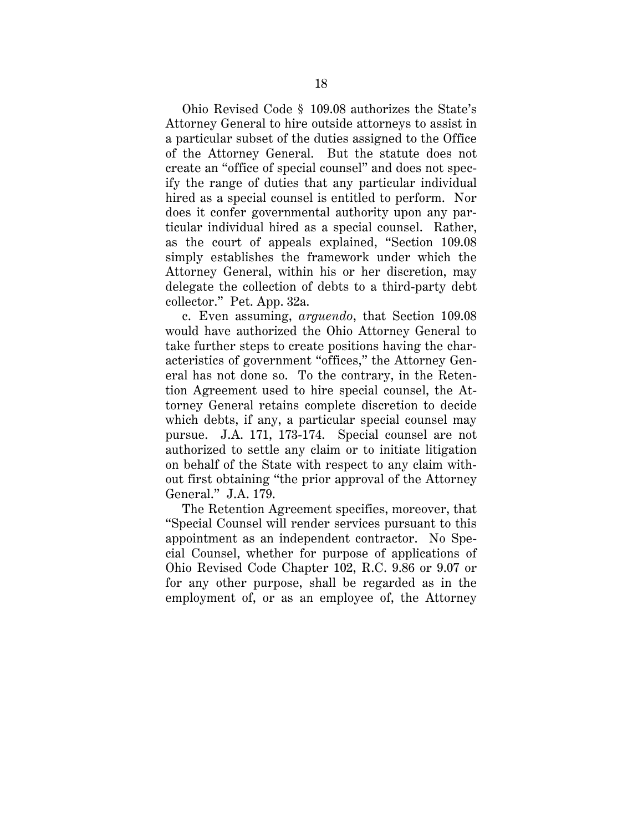Ohio Revised Code § 109.08 authorizes the State's Attorney General to hire outside attorneys to assist in a particular subset of the duties assigned to the Office of the Attorney General. But the statute does not create an "office of special counsel" and does not specify the range of duties that any particular individual hired as a special counsel is entitled to perform. Nor does it confer governmental authority upon any particular individual hired as a special counsel. Rather, as the court of appeals explained, "Section 109.08 simply establishes the framework under which the Attorney General, within his or her discretion, may delegate the collection of debts to a third-party debt collector." Pet. App. 32a.

c. Even assuming, *arguendo*, that Section 109.08 would have authorized the Ohio Attorney General to take further steps to create positions having the characteristics of government "offices," the Attorney General has not done so. To the contrary, in the Retention Agreement used to hire special counsel, the Attorney General retains complete discretion to decide which debts, if any, a particular special counsel may pursue. J.A. 171, 173-174. Special counsel are not authorized to settle any claim or to initiate litigation on behalf of the State with respect to any claim without first obtaining "the prior approval of the Attorney General." J.A. 179.

The Retention Agreement specifies, moreover, that "Special Counsel will render services pursuant to this appointment as an independent contractor. No Special Counsel, whether for purpose of applications of Ohio Revised Code Chapter 102, R.C. 9.86 or 9.07 or for any other purpose, shall be regarded as in the employment of, or as an employee of, the Attorney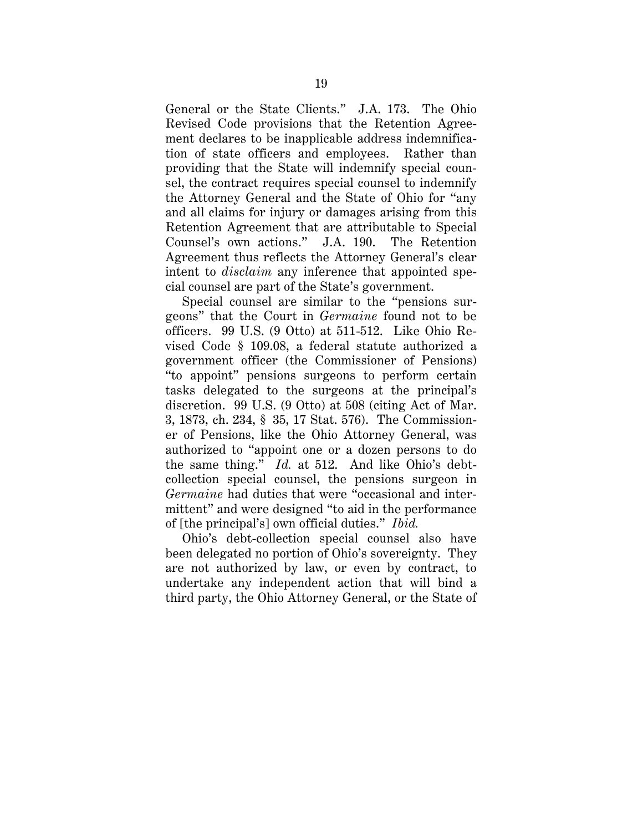General or the State Clients." J.A. 173. The Ohio Revised Code provisions that the Retention Agreement declares to be inapplicable address indemnification of state officers and employees. Rather than providing that the State will indemnify special counsel, the contract requires special counsel to indemnify the Attorney General and the State of Ohio for "any and all claims for injury or damages arising from this Retention Agreement that are attributable to Special Counsel's own actions." J.A. 190. The Retention Agreement thus reflects the Attorney General's clear intent to *disclaim* any inference that appointed special counsel are part of the State's government.

Special counsel are similar to the "pensions surgeons" that the Court in *Germaine* found not to be officers. 99 U.S. (9 Otto) at 511-512. Like Ohio Revised Code § 109.08, a federal statute authorized a government officer (the Commissioner of Pensions) "to appoint" pensions surgeons to perform certain tasks delegated to the surgeons at the principal's discretion. 99 U.S. (9 Otto) at 508 (citing Act of Mar. 3, 1873, ch. 234, § 35, 17 Stat. 576). The Commissioner of Pensions, like the Ohio Attorney General, was authorized to "appoint one or a dozen persons to do the same thing." *Id.* at 512. And like Ohio's debtcollection special counsel, the pensions surgeon in *Germaine* had duties that were "occasional and intermittent" and were designed "to aid in the performance of [the principal's] own official duties." *Ibid.*

Ohio's debt-collection special counsel also have been delegated no portion of Ohio's sovereignty. They are not authorized by law, or even by contract, to undertake any independent action that will bind a third party, the Ohio Attorney General, or the State of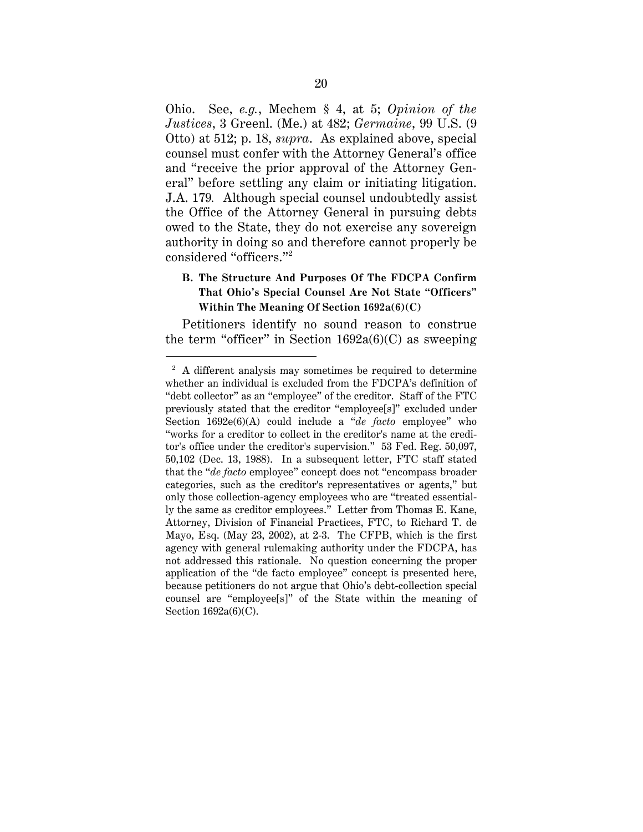Ohio. See, *e.g.*, Mechem § 4, at 5; *Opinion of the Justices*, 3 Greenl. (Me.) at 482; *Germaine*, 99 U.S. (9 Otto) at 512; p. 18, *supra*. As explained above, special counsel must confer with the Attorney General's office and "receive the prior approval of the Attorney General" before settling any claim or initiating litigation. J.A. 179*.* Although special counsel undoubtedly assist the Office of the Attorney General in pursuing debts owed to the State, they do not exercise any sovereign authority in doing so and therefore cannot properly be considered "officers."2

### **B. The Structure And Purposes Of The FDCPA Confirm That Ohio's Special Counsel Are Not State "Officers" Within The Meaning Of Section 1692a(6)(C)**

Petitioners identify no sound reason to construe the term "officer" in Section  $1692a(6)(C)$  as sweeping

<sup>&</sup>lt;sup>2</sup> A different analysis may sometimes be required to determine whether an individual is excluded from the FDCPA's definition of "debt collector" as an "employee" of the creditor. Staff of the FTC previously stated that the creditor "employee[s]" excluded under Section 1692e(6)(A) could include a "*de facto* employee" who "works for a creditor to collect in the creditor's name at the creditor's office under the creditor's supervision." 53 Fed. Reg. 50,097, 50,102 (Dec. 13, 1988). In a subsequent letter, FTC staff stated that the "*de facto* employee" concept does not "encompass broader categories, such as the creditor's representatives or agents," but only those collection-agency employees who are "treated essentially the same as creditor employees." Letter from Thomas E. Kane, Attorney, Division of Financial Practices, FTC, to Richard T. de Mayo, Esq. (May 23, 2002), at 2-3. The CFPB, which is the first agency with general rulemaking authority under the FDCPA, has not addressed this rationale. No question concerning the proper application of the "de facto employee" concept is presented here, because petitioners do not argue that Ohio's debt-collection special counsel are "employee[s]" of the State within the meaning of Section 1692a(6)(C).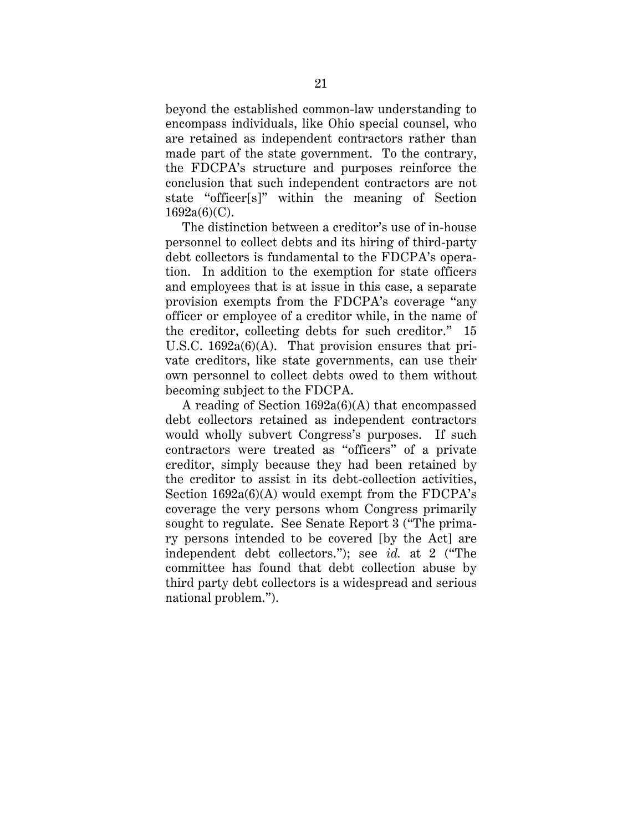beyond the established common-law understanding to encompass individuals, like Ohio special counsel, who are retained as independent contractors rather than made part of the state government. To the contrary, the FDCPA's structure and purposes reinforce the conclusion that such independent contractors are not state "officer[s]" within the meaning of Section  $1692a(6)(C)$ .

The distinction between a creditor's use of in-house personnel to collect debts and its hiring of third-party debt collectors is fundamental to the FDCPA's operation. In addition to the exemption for state officers and employees that is at issue in this case, a separate provision exempts from the FDCPA's coverage "any officer or employee of a creditor while, in the name of the creditor, collecting debts for such creditor." 15 U.S.C. 1692a(6)(A). That provision ensures that private creditors, like state governments, can use their own personnel to collect debts owed to them without becoming subject to the FDCPA.

A reading of Section 1692a(6)(A) that encompassed debt collectors retained as independent contractors would wholly subvert Congress's purposes. If such contractors were treated as "officers" of a private creditor, simply because they had been retained by the creditor to assist in its debt-collection activities, Section 1692a(6)(A) would exempt from the FDCPA's coverage the very persons whom Congress primarily sought to regulate. See Senate Report 3 ("The primary persons intended to be covered [by the Act] are independent debt collectors."); see *id.* at 2 ("The committee has found that debt collection abuse by third party debt collectors is a widespread and serious national problem.").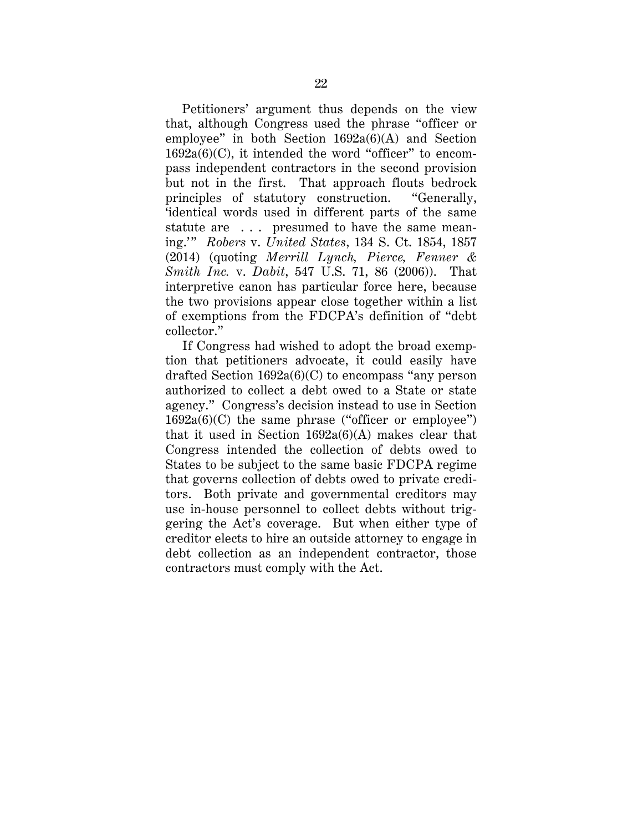Petitioners' argument thus depends on the view that, although Congress used the phrase "officer or employee" in both Section 1692a(6)(A) and Section  $1692a(6)(C)$ , it intended the word "officer" to encompass independent contractors in the second provision but not in the first. That approach flouts bedrock principles of statutory construction. "Generally, 'identical words used in different parts of the same statute are ... presumed to have the same meaning.'" *Robers* v. *United States*, 134 S. Ct. 1854, 1857 (2014) (quoting *Merrill Lynch, Pierce, Fenner & Smith Inc.* v. *Dabit*, 547 U.S. 71, 86 (2006)). That interpretive canon has particular force here, because the two provisions appear close together within a list of exemptions from the FDCPA's definition of "debt collector."

If Congress had wished to adopt the broad exemption that petitioners advocate, it could easily have drafted Section 1692a(6)(C) to encompass "any person authorized to collect a debt owed to a State or state agency." Congress's decision instead to use in Section  $1692a(6)(C)$  the same phrase ("officer or employee") that it used in Section  $1692a(6)$ (A) makes clear that Congress intended the collection of debts owed to States to be subject to the same basic FDCPA regime that governs collection of debts owed to private creditors. Both private and governmental creditors may use in-house personnel to collect debts without triggering the Act's coverage. But when either type of creditor elects to hire an outside attorney to engage in debt collection as an independent contractor, those contractors must comply with the Act.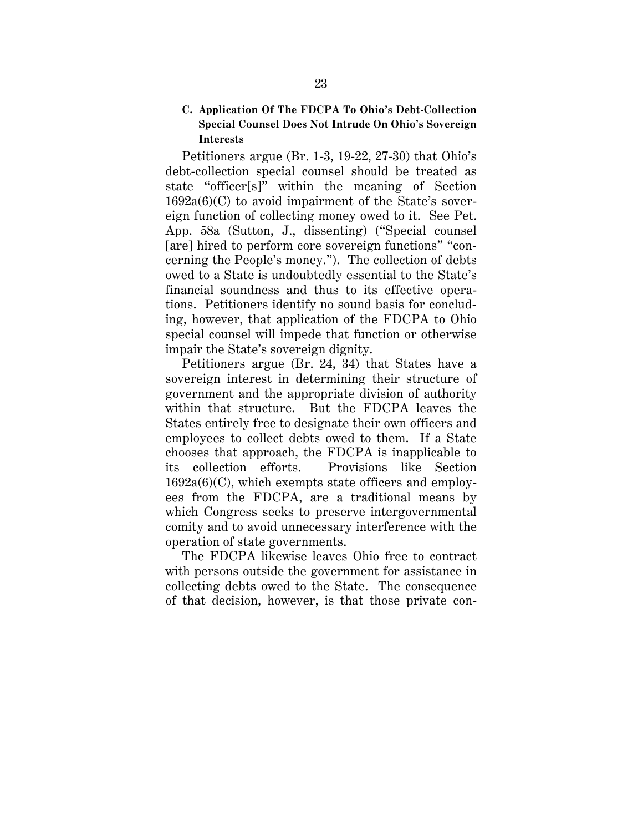### **C. Application Of The FDCPA To Ohio's Debt-Collection Special Counsel Does Not Intrude On Ohio's Sovereign Interests**

Petitioners argue (Br. 1-3, 19-22, 27-30) that Ohio's debt-collection special counsel should be treated as state "officer[s]" within the meaning of Section  $1692a(6)(C)$  to avoid impairment of the State's sovereign function of collecting money owed to it. See Pet. App. 58a (Sutton, J., dissenting) ("Special counsel [are] hired to perform core sovereign functions" "concerning the People's money."). The collection of debts owed to a State is undoubtedly essential to the State's financial soundness and thus to its effective operations. Petitioners identify no sound basis for concluding, however, that application of the FDCPA to Ohio special counsel will impede that function or otherwise impair the State's sovereign dignity.

Petitioners argue (Br. 24, 34) that States have a sovereign interest in determining their structure of government and the appropriate division of authority within that structure. But the FDCPA leaves the States entirely free to designate their own officers and employees to collect debts owed to them. If a State chooses that approach, the FDCPA is inapplicable to its collection efforts. Provisions like Section  $1692a(6)(C)$ , which exempts state officers and employees from the FDCPA, are a traditional means by which Congress seeks to preserve intergovernmental comity and to avoid unnecessary interference with the operation of state governments.

The FDCPA likewise leaves Ohio free to contract with persons outside the government for assistance in collecting debts owed to the State. The consequence of that decision, however, is that those private con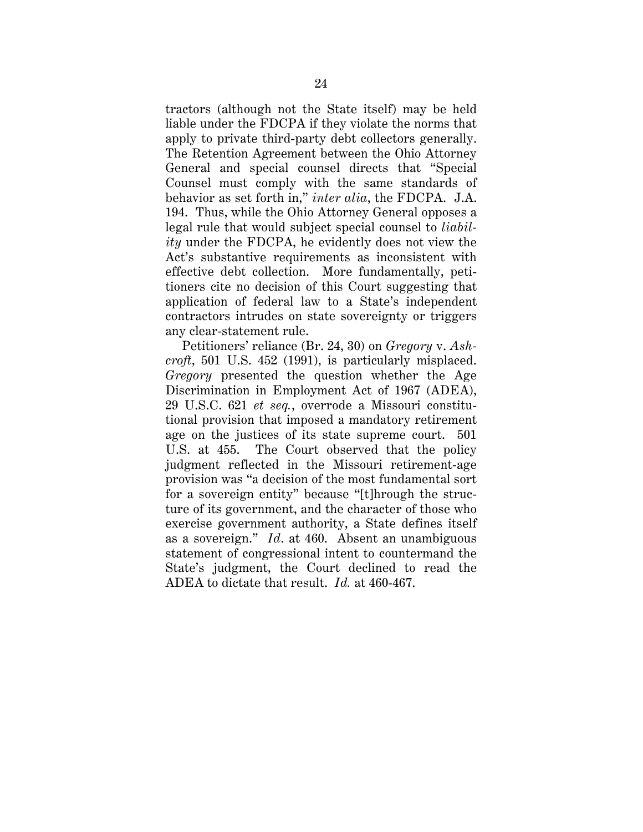tractors (although not the State itself) may be held liable under the FDCPA if they violate the norms that apply to private third-party debt collectors generally. The Retention Agreement between the Ohio Attorney General and special counsel directs that "Special Counsel must comply with the same standards of behavior as set forth in," *inter alia*, the FDCPA. J.A. 194. Thus, while the Ohio Attorney General opposes a legal rule that would subject special counsel to *liability* under the FDCPA, he evidently does not view the Act's substantive requirements as inconsistent with effective debt collection. More fundamentally, petitioners cite no decision of this Court suggesting that application of federal law to a State's independent contractors intrudes on state sovereignty or triggers any clear-statement rule.

Petitioners' reliance (Br. 24, 30) on *Gregory* v. *Ashcroft*, 501 U.S. 452 (1991), is particularly misplaced. *Gregory* presented the question whether the Age Discrimination in Employment Act of 1967 (ADEA), 29 U.S.C. 621 *et seq.*, overrode a Missouri constitutional provision that imposed a mandatory retirement age on the justices of its state supreme court. 501 U.S. at 455. The Court observed that the policy judgment reflected in the Missouri retirement-age provision was "a decision of the most fundamental sort for a sovereign entity" because "[t]hrough the structure of its government, and the character of those who exercise government authority, a State defines itself as a sovereign." *Id*. at 460. Absent an unambiguous statement of congressional intent to countermand the State's judgment, the Court declined to read the ADEA to dictate that result. *Id.* at 460-467.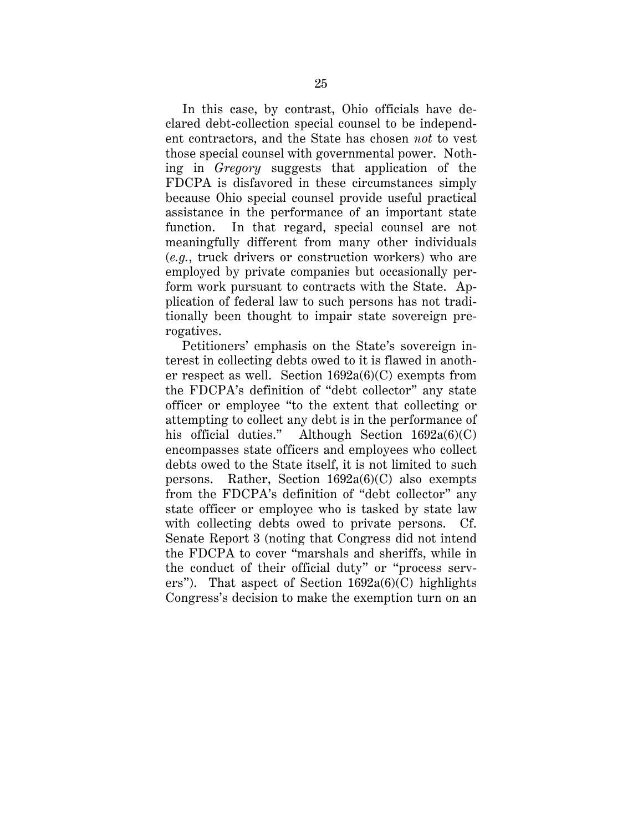In this case, by contrast, Ohio officials have declared debt-collection special counsel to be independent contractors, and the State has chosen *not* to vest those special counsel with governmental power. Nothing in *Gregory* suggests that application of the FDCPA is disfavored in these circumstances simply because Ohio special counsel provide useful practical assistance in the performance of an important state function. In that regard, special counsel are not meaningfully different from many other individuals (*e.g.*, truck drivers or construction workers) who are employed by private companies but occasionally perform work pursuant to contracts with the State. Application of federal law to such persons has not traditionally been thought to impair state sovereign prerogatives.

Petitioners' emphasis on the State's sovereign interest in collecting debts owed to it is flawed in another respect as well. Section 1692a(6)(C) exempts from the FDCPA's definition of "debt collector" any state officer or employee "to the extent that collecting or attempting to collect any debt is in the performance of his official duties." Although Section  $1692a(6)(C)$ encompasses state officers and employees who collect debts owed to the State itself, it is not limited to such persons. Rather, Section 1692a(6)(C) also exempts from the FDCPA's definition of "debt collector" any state officer or employee who is tasked by state law with collecting debts owed to private persons. Cf. Senate Report 3 (noting that Congress did not intend the FDCPA to cover "marshals and sheriffs, while in the conduct of their official duty" or "process servers"). That aspect of Section 1692a(6)(C) highlights Congress's decision to make the exemption turn on an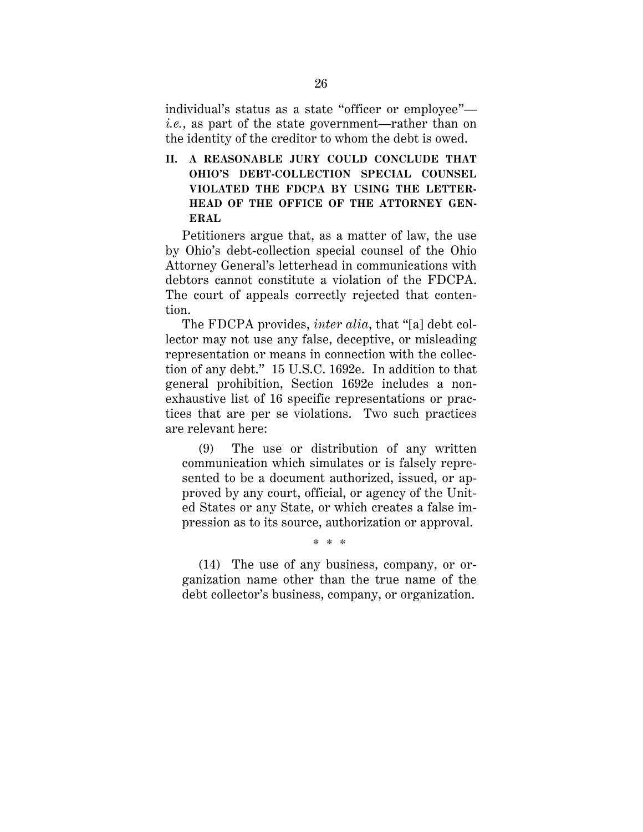individual's status as a state "officer or employee" *i.e.*, as part of the state government—rather than on the identity of the creditor to whom the debt is owed.

**II. A REASONABLE JURY COULD CONCLUDE THAT OHIO'S DEBT-COLLECTION SPECIAL COUNSEL VIOLATED THE FDCPA BY USING THE LETTER-HEAD OF THE OFFICE OF THE ATTORNEY GEN-ERAL** 

Petitioners argue that, as a matter of law, the use by Ohio's debt-collection special counsel of the Ohio Attorney General's letterhead in communications with debtors cannot constitute a violation of the FDCPA. The court of appeals correctly rejected that contention.

The FDCPA provides, *inter alia*, that "[a] debt collector may not use any false, deceptive, or misleading representation or means in connection with the collection of any debt." 15 U.S.C. 1692e. In addition to that general prohibition, Section 1692e includes a nonexhaustive list of 16 specific representations or practices that are per se violations. Two such practices are relevant here:

(9) The use or distribution of any written communication which simulates or is falsely represented to be a document authorized, issued, or approved by any court, official, or agency of the United States or any State, or which creates a false impression as to its source, authorization or approval.

(14) The use of any business, company, or organization name other than the true name of the debt collector's business, company, or organization.

\* \* \*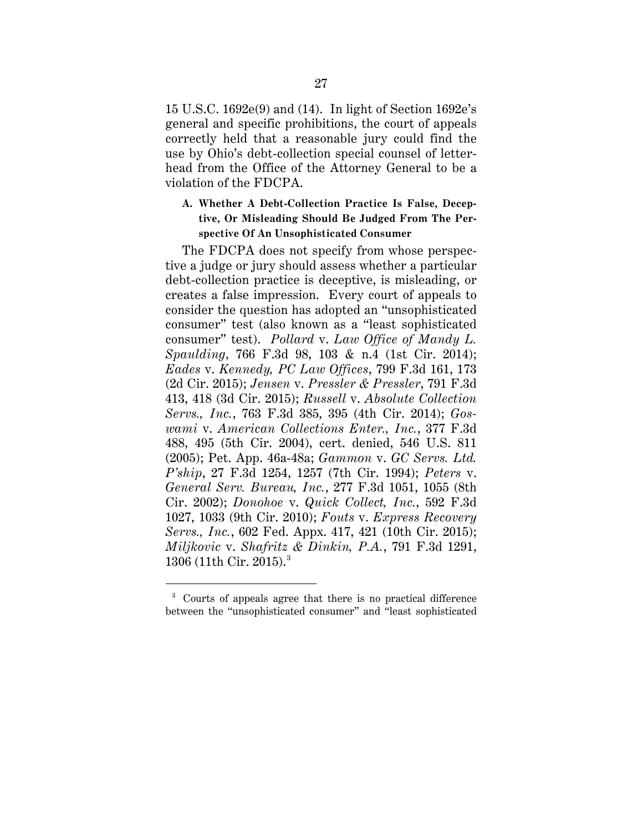15 U.S.C. 1692e(9) and (14). In light of Section 1692e's general and specific prohibitions, the court of appeals correctly held that a reasonable jury could find the use by Ohio's debt-collection special counsel of letterhead from the Office of the Attorney General to be a violation of the FDCPA.

# **A. Whether A Debt-Collection Practice Is False, Deceptive, Or Misleading Should Be Judged From The Perspective Of An Unsophisticated Consumer**

The FDCPA does not specify from whose perspective a judge or jury should assess whether a particular debt-collection practice is deceptive, is misleading, or creates a false impression. Every court of appeals to consider the question has adopted an "unsophisticated consumer" test (also known as a "least sophisticated consumer" test). *Pollard* v. *Law Office of Mandy L. Spaulding*, 766 F.3d 98, 103 & n.4 (1st Cir. 2014); *Eades* v. *Kennedy, PC Law Offices*, 799 F.3d 161, 173 (2d Cir. 2015); *Jensen* v. *Pressler & Pressler*, 791 F.3d 413, 418 (3d Cir. 2015); *Russell* v. *Absolute Collection Servs., Inc.*, 763 F.3d 385, 395 (4th Cir. 2014); *Goswami* v. *American Collections Enter., Inc.*, 377 F.3d 488, 495 (5th Cir. 2004), cert. denied, 546 U.S. 811 (2005); Pet. App. 46a-48a; *Gammon* v. *GC Servs. Ltd. P'ship*, 27 F.3d 1254, 1257 (7th Cir. 1994); *Peters* v. *General Serv. Bureau, Inc.*, 277 F.3d 1051, 1055 (8th Cir. 2002); *Donohoe* v. *Quick Collect, Inc.*, 592 F.3d 1027, 1033 (9th Cir. 2010); *Fouts* v. *Express Recovery Servs., Inc.*, 602 Fed. Appx. 417, 421 (10th Cir. 2015); *Miljkovic* v. *Shafritz & Dinkin, P.A.*, 791 F.3d 1291, 1306 (11th Cir. 2015). 3

 <sup>3</sup> Courts of appeals agree that there is no practical difference between the "unsophisticated consumer" and "least sophisticated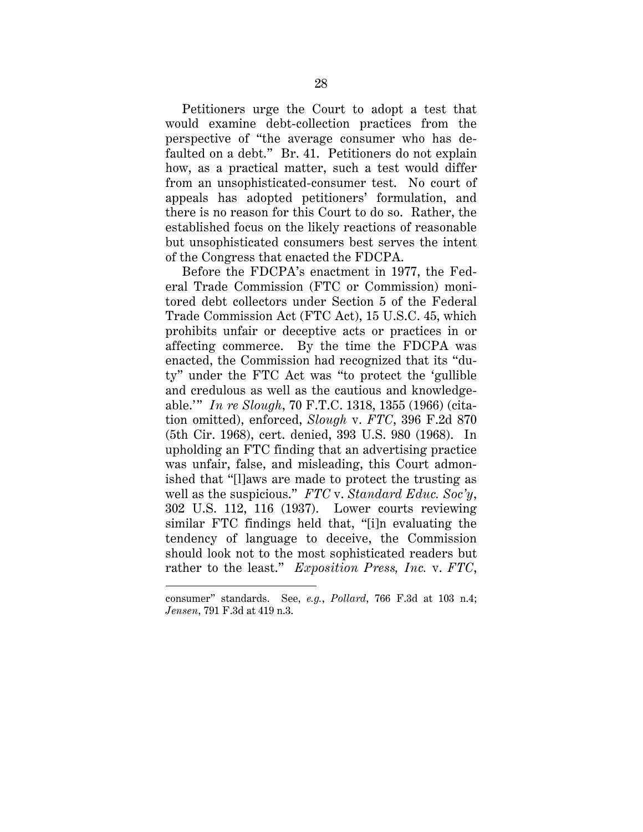Petitioners urge the Court to adopt a test that would examine debt-collection practices from the perspective of "the average consumer who has defaulted on a debt." Br. 41. Petitioners do not explain how, as a practical matter, such a test would differ from an unsophisticated-consumer test. No court of appeals has adopted petitioners' formulation, and there is no reason for this Court to do so. Rather, the established focus on the likely reactions of reasonable but unsophisticated consumers best serves the intent of the Congress that enacted the FDCPA.

Before the FDCPA's enactment in 1977, the Federal Trade Commission (FTC or Commission) monitored debt collectors under Section 5 of the Federal Trade Commission Act (FTC Act), 15 U.S.C. 45, which prohibits unfair or deceptive acts or practices in or affecting commerce. By the time the FDCPA was enacted, the Commission had recognized that its "duty" under the FTC Act was "to protect the 'gullible and credulous as well as the cautious and knowledgeable.'" *In re Slough*, 70 F.T.C. 1318, 1355 (1966) (citation omitted), enforced, *Slough* v. *FTC*, 396 F.2d 870 (5th Cir. 1968), cert. denied, 393 U.S. 980 (1968). In upholding an FTC finding that an advertising practice was unfair, false, and misleading, this Court admonished that "[l]aws are made to protect the trusting as well as the suspicious." *FTC* v. *Standard Educ. Soc'y*, 302 U.S. 112, 116 (1937). Lower courts reviewing similar FTC findings held that, "[i]n evaluating the tendency of language to deceive, the Commission should look not to the most sophisticated readers but rather to the least." *Exposition Press, Inc.* v. *FTC*,

 $\overline{a}$ 

consumer" standards. See, *e.g.*, *Pollard*, 766 F.3d at 103 n.4; *Jensen*, 791 F.3d at 419 n.3.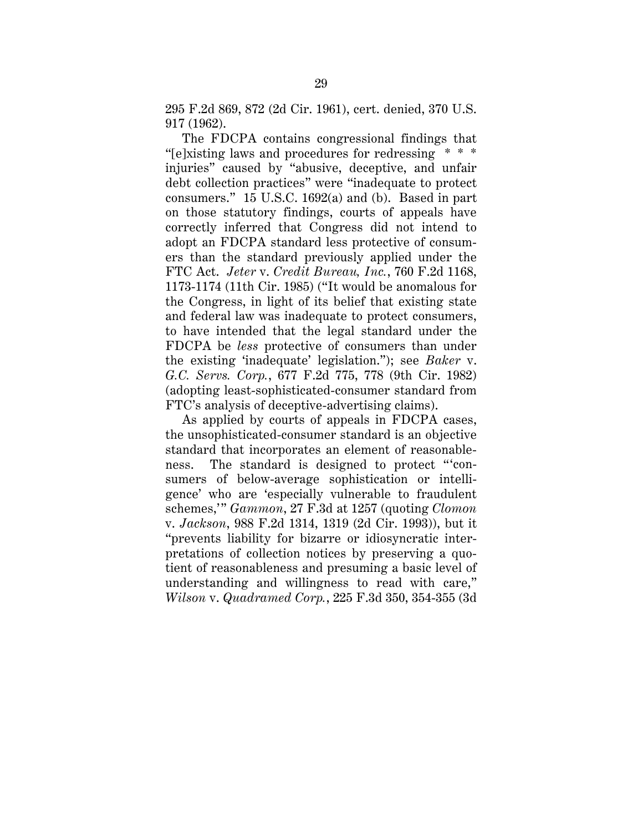295 F.2d 869, 872 (2d Cir. 1961), cert. denied, 370 U.S. 917 (1962).

The FDCPA contains congressional findings that "[e]xisting laws and procedures for redressing \* \* \* injuries" caused by "abusive, deceptive, and unfair debt collection practices" were "inadequate to protect consumers." 15 U.S.C. 1692(a) and (b). Based in part on those statutory findings, courts of appeals have correctly inferred that Congress did not intend to adopt an FDCPA standard less protective of consumers than the standard previously applied under the FTC Act. *Jeter* v. *Credit Bureau, Inc.*, 760 F.2d 1168, 1173-1174 (11th Cir. 1985) ("It would be anomalous for the Congress, in light of its belief that existing state and federal law was inadequate to protect consumers, to have intended that the legal standard under the FDCPA be *less* protective of consumers than under the existing 'inadequate' legislation."); see *Baker* v. *G.C. Servs. Corp.*, 677 F.2d 775, 778 (9th Cir. 1982) (adopting least-sophisticated-consumer standard from FTC's analysis of deceptive-advertising claims).

As applied by courts of appeals in FDCPA cases, the unsophisticated-consumer standard is an objective standard that incorporates an element of reasonableness. The standard is designed to protect "'consumers of below-average sophistication or intelligence' who are 'especially vulnerable to fraudulent schemes,'" *Gammon*, 27 F.3d at 1257 (quoting *Clomon* v. *Jackson*, 988 F.2d 1314, 1319 (2d Cir. 1993)), but it "prevents liability for bizarre or idiosyncratic interpretations of collection notices by preserving a quotient of reasonableness and presuming a basic level of understanding and willingness to read with care," *Wilson* v. *Quadramed Corp.*, 225 F.3d 350, 354-355 (3d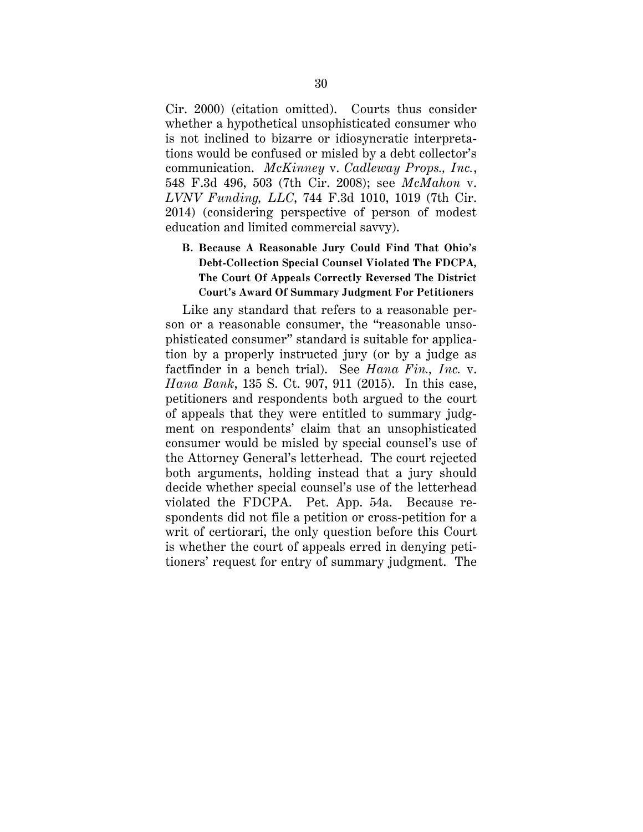Cir. 2000) (citation omitted). Courts thus consider whether a hypothetical unsophisticated consumer who is not inclined to bizarre or idiosyncratic interpretations would be confused or misled by a debt collector's communication. *McKinney* v. *Cadleway Props., Inc.*, 548 F.3d 496, 503 (7th Cir. 2008); see *McMahon* v. *LVNV Funding, LLC*, 744 F.3d 1010, 1019 (7th Cir. 2014) (considering perspective of person of modest education and limited commercial savvy).

**B. Because A Reasonable Jury Could Find That Ohio's Debt-Collection Special Counsel Violated The FDCPA, The Court Of Appeals Correctly Reversed The District Court's Award Of Summary Judgment For Petitioners**

Like any standard that refers to a reasonable person or a reasonable consumer, the "reasonable unsophisticated consumer" standard is suitable for application by a properly instructed jury (or by a judge as factfinder in a bench trial). See *Hana Fin., Inc.* v. *Hana Bank*, 135 S. Ct. 907, 911 (2015). In this case, petitioners and respondents both argued to the court of appeals that they were entitled to summary judgment on respondents' claim that an unsophisticated consumer would be misled by special counsel's use of the Attorney General's letterhead. The court rejected both arguments, holding instead that a jury should decide whether special counsel's use of the letterhead violated the FDCPA. Pet. App. 54a. Because respondents did not file a petition or cross-petition for a writ of certiorari, the only question before this Court is whether the court of appeals erred in denying petitioners' request for entry of summary judgment. The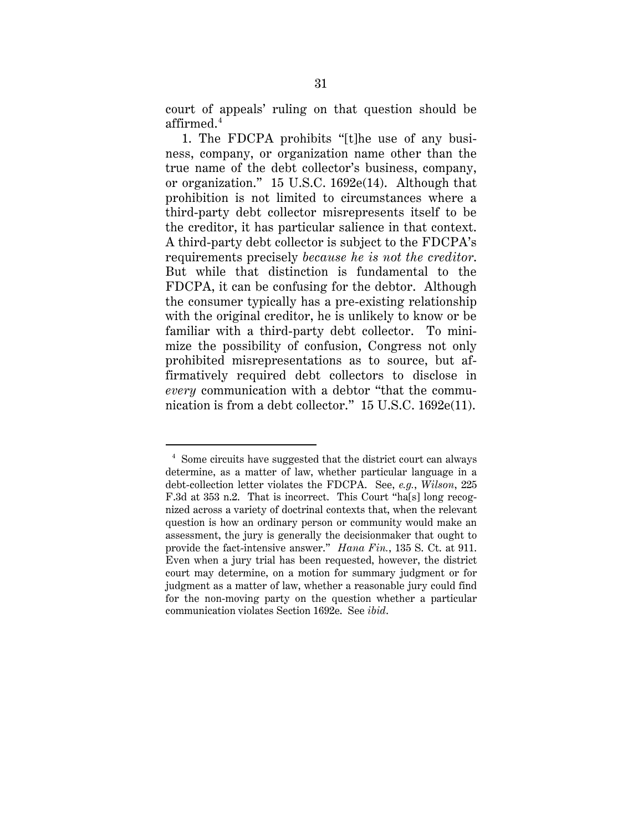court of appeals' ruling on that question should be affirmed. $^4$ 

1. The FDCPA prohibits "[t]he use of any business, company, or organization name other than the true name of the debt collector's business, company, or organization." 15 U.S.C. 1692e(14). Although that prohibition is not limited to circumstances where a third-party debt collector misrepresents itself to be the creditor, it has particular salience in that context. A third-party debt collector is subject to the FDCPA's requirements precisely *because he is not the creditor*. But while that distinction is fundamental to the FDCPA, it can be confusing for the debtor. Although the consumer typically has a pre-existing relationship with the original creditor, he is unlikely to know or be familiar with a third-party debt collector. To minimize the possibility of confusion, Congress not only prohibited misrepresentations as to source, but affirmatively required debt collectors to disclose in *every* communication with a debtor "that the communication is from a debt collector." 15 U.S.C. 1692e(11).

 <sup>4</sup> Some circuits have suggested that the district court can always determine, as a matter of law, whether particular language in a debt-collection letter violates the FDCPA. See, *e.g.*, *Wilson*, 225 F.3d at 353 n.2. That is incorrect. This Court "ha[s] long recognized across a variety of doctrinal contexts that, when the relevant question is how an ordinary person or community would make an assessment, the jury is generally the decisionmaker that ought to provide the fact-intensive answer." *Hana Fin.*, 135 S. Ct. at 911. Even when a jury trial has been requested, however, the district court may determine, on a motion for summary judgment or for judgment as a matter of law, whether a reasonable jury could find for the non-moving party on the question whether a particular communication violates Section 1692e. See *ibid*.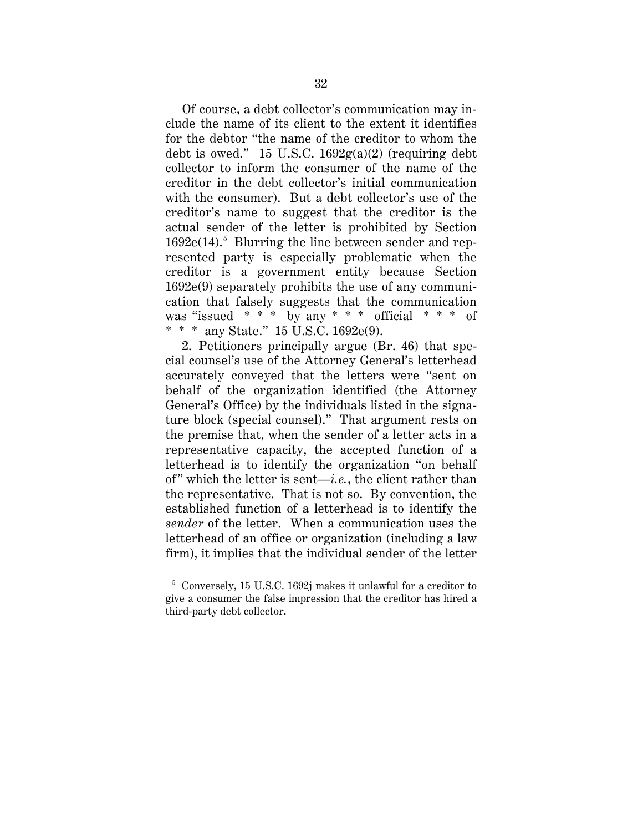Of course, a debt collector's communication may include the name of its client to the extent it identifies for the debtor "the name of the creditor to whom the debt is owed." 15 U.S.C.  $1692g(a)(2)$  (requiring debt collector to inform the consumer of the name of the creditor in the debt collector's initial communication with the consumer). But a debt collector's use of the creditor's name to suggest that the creditor is the actual sender of the letter is prohibited by Section  $1692e(14).$ <sup>5</sup> Blurring the line between sender and represented party is especially problematic when the creditor is a government entity because Section 1692e(9) separately prohibits the use of any communication that falsely suggests that the communication was "issued \* \* \* by any \* \* \* official \* \* \* of \* \* \* any State." 15 U.S.C. 1692e(9).

2. Petitioners principally argue (Br. 46) that special counsel's use of the Attorney General's letterhead accurately conveyed that the letters were "sent on behalf of the organization identified (the Attorney General's Office) by the individuals listed in the signature block (special counsel)." That argument rests on the premise that, when the sender of a letter acts in a representative capacity, the accepted function of a letterhead is to identify the organization "on behalf of" which the letter is sent—*i.e.*, the client rather than the representative. That is not so. By convention, the established function of a letterhead is to identify the *sender* of the letter. When a communication uses the letterhead of an office or organization (including a law firm), it implies that the individual sender of the letter

 <sup>5</sup> Conversely, 15 U.S.C. 1692j makes it unlawful for a creditor to give a consumer the false impression that the creditor has hired a third-party debt collector.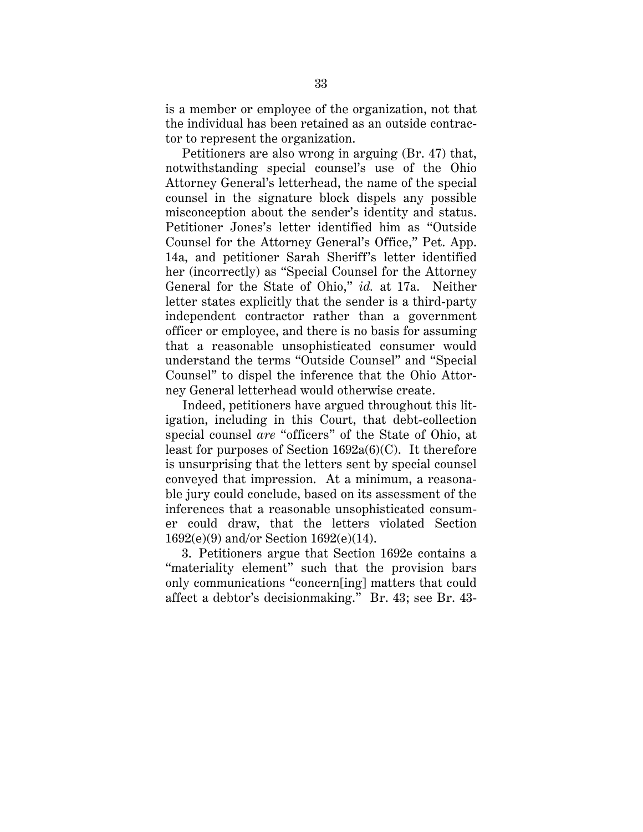is a member or employee of the organization, not that the individual has been retained as an outside contractor to represent the organization.

Petitioners are also wrong in arguing (Br. 47) that, notwithstanding special counsel's use of the Ohio Attorney General's letterhead, the name of the special counsel in the signature block dispels any possible misconception about the sender's identity and status. Petitioner Jones's letter identified him as "Outside Counsel for the Attorney General's Office," Pet. App. 14a, and petitioner Sarah Sheriff's letter identified her (incorrectly) as "Special Counsel for the Attorney General for the State of Ohio," *id.* at 17a. Neither letter states explicitly that the sender is a third-party independent contractor rather than a government officer or employee, and there is no basis for assuming that a reasonable unsophisticated consumer would understand the terms "Outside Counsel" and "Special Counsel" to dispel the inference that the Ohio Attorney General letterhead would otherwise create.

Indeed, petitioners have argued throughout this litigation, including in this Court, that debt-collection special counsel *are* "officers" of the State of Ohio, at least for purposes of Section  $1692a(6)(C)$ . It therefore is unsurprising that the letters sent by special counsel conveyed that impression. At a minimum, a reasonable jury could conclude, based on its assessment of the inferences that a reasonable unsophisticated consumer could draw, that the letters violated Section 1692(e)(9) and/or Section 1692(e)(14).

3. Petitioners argue that Section 1692e contains a "materiality element" such that the provision bars only communications "concern[ing] matters that could affect a debtor's decisionmaking." Br. 43; see Br. 43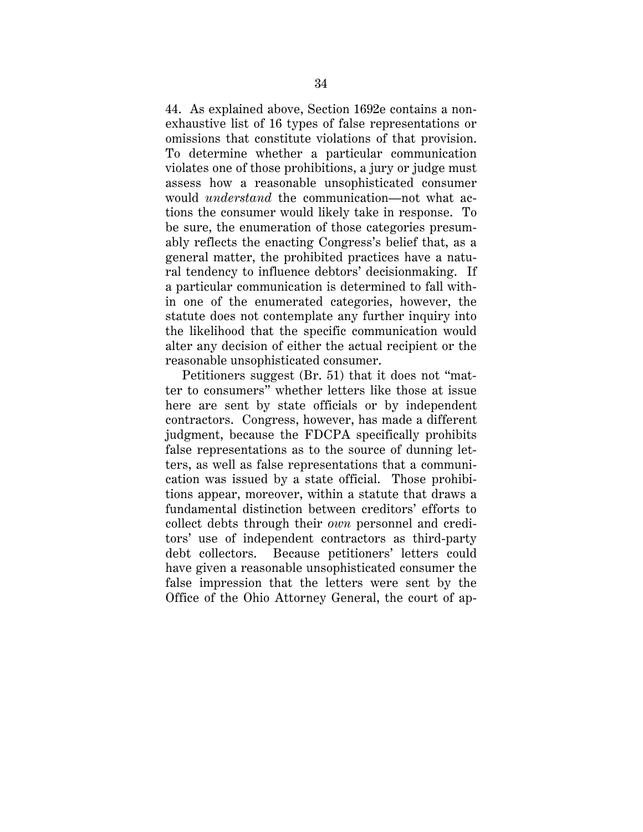44. As explained above, Section 1692e contains a nonexhaustive list of 16 types of false representations or omissions that constitute violations of that provision. To determine whether a particular communication violates one of those prohibitions, a jury or judge must assess how a reasonable unsophisticated consumer would *understand* the communication—not what actions the consumer would likely take in response. To be sure, the enumeration of those categories presumably reflects the enacting Congress's belief that, as a general matter, the prohibited practices have a natural tendency to influence debtors' decisionmaking. If a particular communication is determined to fall within one of the enumerated categories, however, the statute does not contemplate any further inquiry into the likelihood that the specific communication would alter any decision of either the actual recipient or the reasonable unsophisticated consumer.

Petitioners suggest (Br. 51) that it does not "matter to consumers" whether letters like those at issue here are sent by state officials or by independent contractors. Congress, however, has made a different judgment, because the FDCPA specifically prohibits false representations as to the source of dunning letters, as well as false representations that a communication was issued by a state official. Those prohibitions appear, moreover, within a statute that draws a fundamental distinction between creditors' efforts to collect debts through their *own* personnel and creditors' use of independent contractors as third-party debt collectors. Because petitioners' letters could have given a reasonable unsophisticated consumer the false impression that the letters were sent by the Office of the Ohio Attorney General, the court of ap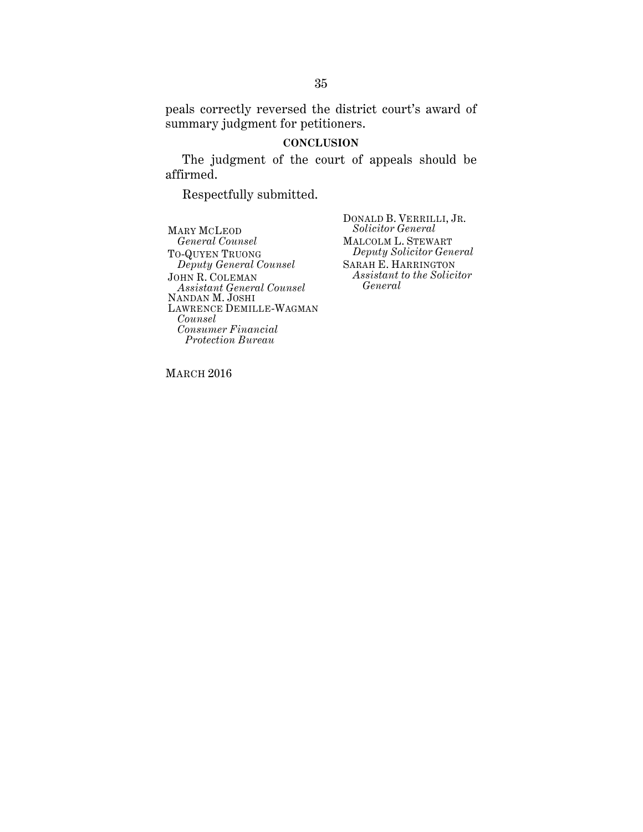peals correctly reversed the district court's award of summary judgment for petitioners.

#### **CONCLUSION**

The judgment of the court of appeals should be affirmed.

Respectfully submitted.

MARY MCLEOD *General Counsel* TO-QUYEN TRUONG *Deputy General Counsel* JOHN R. COLEMAN *Assistant General Counsel* NANDAN M. JOSHI LAWRENCE DEMILLE-WAGMAN *Counsel Consumer Financial Protection Bureau*

DONALD B. VERRILLI, JR. *Solicitor General* MALCOLM L. STEWART *Deputy Solicitor General* SARAH E. HARRINGTON *Assistant to the Solicitor General* 

MARCH 2016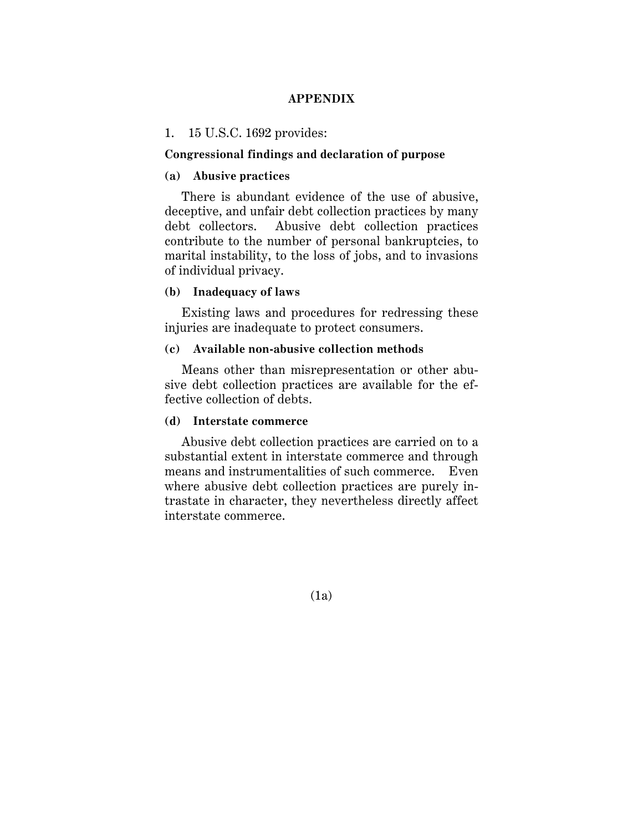# **APPENDIX**

#### 1. 15 U.S.C. 1692 provides:

#### **Congressional findings and declaration of purpose**

# **(a) Abusive practices**

There is abundant evidence of the use of abusive, deceptive, and unfair debt collection practices by many debt collectors. Abusive debt collection practices contribute to the number of personal bankruptcies, to marital instability, to the loss of jobs, and to invasions of individual privacy.

#### **(b) Inadequacy of laws**

Existing laws and procedures for redressing these injuries are inadequate to protect consumers.

#### **(c) Available non-abusive collection methods**

Means other than misrepresentation or other abusive debt collection practices are available for the effective collection of debts.

#### **(d) Interstate commerce**

Abusive debt collection practices are carried on to a substantial extent in interstate commerce and through means and instrumentalities of such commerce. Even where abusive debt collection practices are purely intrastate in character, they nevertheless directly affect interstate commerce.

(1a)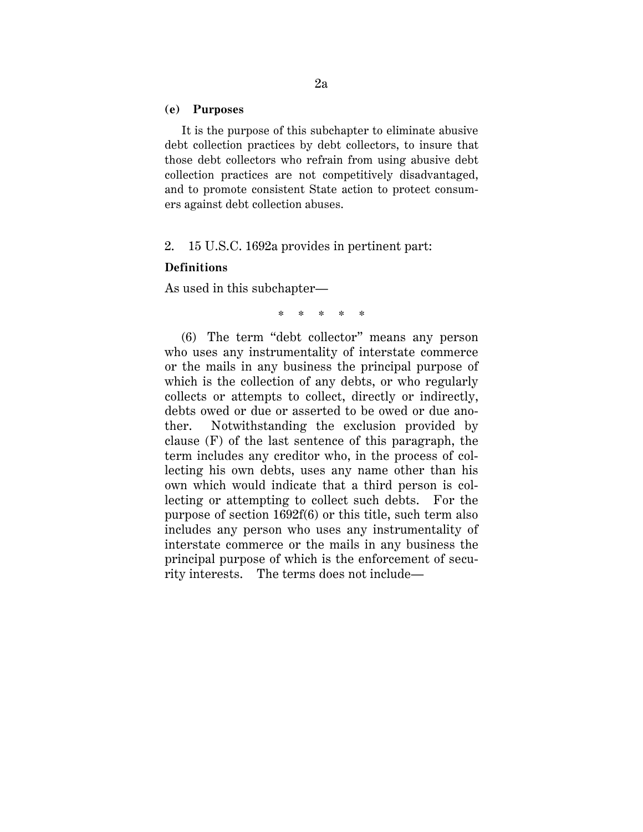#### **(e) Purposes**

It is the purpose of this subchapter to eliminate abusive debt collection practices by debt collectors, to insure that those debt collectors who refrain from using abusive debt collection practices are not competitively disadvantaged, and to promote consistent State action to protect consumers against debt collection abuses.

2. 15 U.S.C. 1692a provides in pertinent part:

#### **Definitions**

As used in this subchapter—

\* \* \* \* \*

(6) The term "debt collector" means any person who uses any instrumentality of interstate commerce or the mails in any business the principal purpose of which is the collection of any debts, or who regularly collects or attempts to collect, directly or indirectly, debts owed or due or asserted to be owed or due another. Notwithstanding the exclusion provided by clause (F) of the last sentence of this paragraph, the term includes any creditor who, in the process of collecting his own debts, uses any name other than his own which would indicate that a third person is collecting or attempting to collect such debts. For the purpose of section 1692f(6) or this title, such term also includes any person who uses any instrumentality of interstate commerce or the mails in any business the principal purpose of which is the enforcement of security interests. The terms does not include—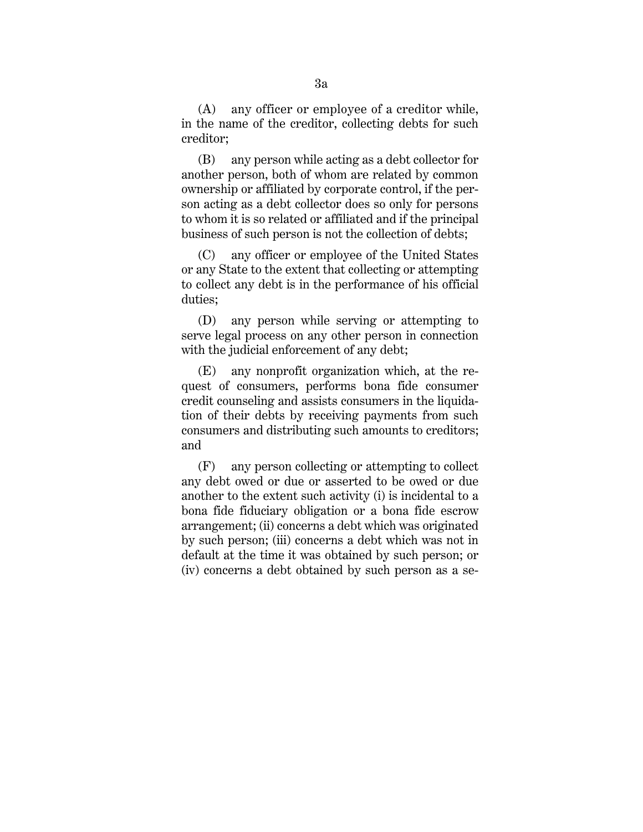(A) any officer or employee of a creditor while, in the name of the creditor, collecting debts for such creditor;

(B) any person while acting as a debt collector for another person, both of whom are related by common ownership or affiliated by corporate control, if the person acting as a debt collector does so only for persons to whom it is so related or affiliated and if the principal business of such person is not the collection of debts;

(C) any officer or employee of the United States or any State to the extent that collecting or attempting to collect any debt is in the performance of his official duties;

(D) any person while serving or attempting to serve legal process on any other person in connection with the judicial enforcement of any debt;

(E) any nonprofit organization which, at the request of consumers, performs bona fide consumer credit counseling and assists consumers in the liquidation of their debts by receiving payments from such consumers and distributing such amounts to creditors; and

(F) any person collecting or attempting to collect any debt owed or due or asserted to be owed or due another to the extent such activity (i) is incidental to a bona fide fiduciary obligation or a bona fide escrow arrangement; (ii) concerns a debt which was originated by such person; (iii) concerns a debt which was not in default at the time it was obtained by such person; or (iv) concerns a debt obtained by such person as a se-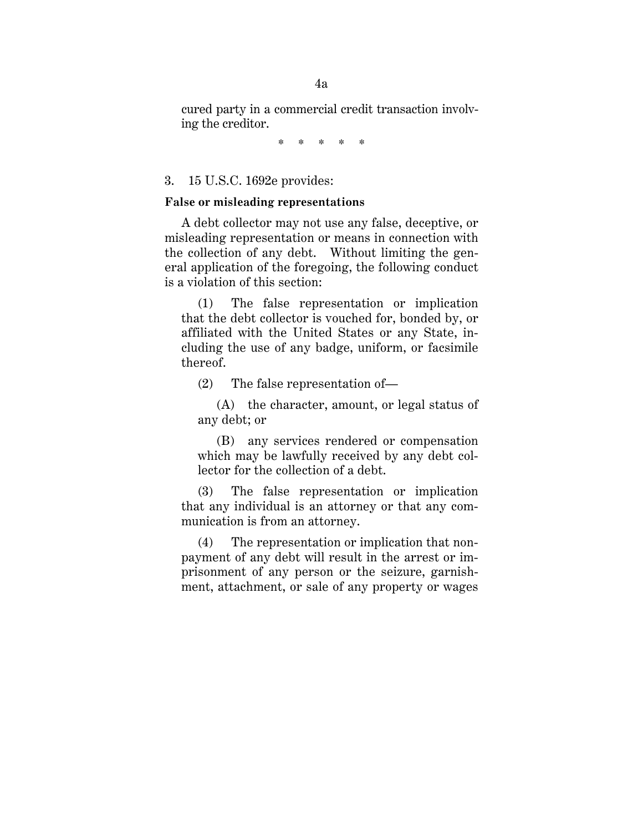cured party in a commercial credit transaction involving the creditor.

\* \* \* \* \*

#### 3. 15 U.S.C. 1692e provides:

### **False or misleading representations**

A debt collector may not use any false, deceptive, or misleading representation or means in connection with the collection of any debt. Without limiting the general application of the foregoing, the following conduct is a violation of this section:

(1) The false representation or implication that the debt collector is vouched for, bonded by, or affiliated with the United States or any State, including the use of any badge, uniform, or facsimile thereof.

(2) The false representation of—

(A) the character, amount, or legal status of any debt; or

(B) any services rendered or compensation which may be lawfully received by any debt collector for the collection of a debt.

(3) The false representation or implication that any individual is an attorney or that any communication is from an attorney.

(4) The representation or implication that nonpayment of any debt will result in the arrest or imprisonment of any person or the seizure, garnishment, attachment, or sale of any property or wages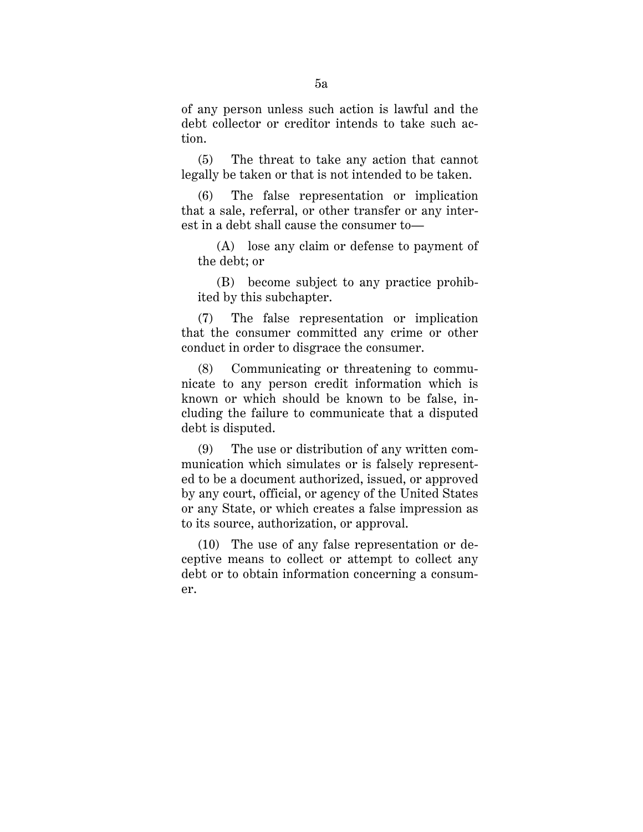of any person unless such action is lawful and the debt collector or creditor intends to take such action.

(5) The threat to take any action that cannot legally be taken or that is not intended to be taken.

(6) The false representation or implication that a sale, referral, or other transfer or any interest in a debt shall cause the consumer to—

(A) lose any claim or defense to payment of the debt; or

(B) become subject to any practice prohibited by this subchapter.

(7) The false representation or implication that the consumer committed any crime or other conduct in order to disgrace the consumer.

(8) Communicating or threatening to communicate to any person credit information which is known or which should be known to be false, including the failure to communicate that a disputed debt is disputed.

(9) The use or distribution of any written communication which simulates or is falsely represented to be a document authorized, issued, or approved by any court, official, or agency of the United States or any State, or which creates a false impression as to its source, authorization, or approval.

(10) The use of any false representation or deceptive means to collect or attempt to collect any debt or to obtain information concerning a consumer.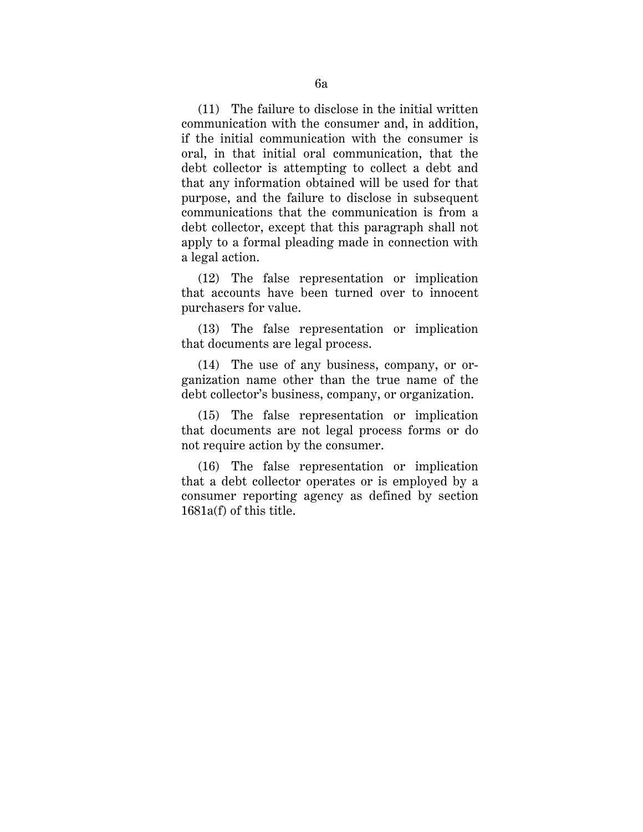(11) The failure to disclose in the initial written communication with the consumer and, in addition, if the initial communication with the consumer is oral, in that initial oral communication, that the debt collector is attempting to collect a debt and that any information obtained will be used for that purpose, and the failure to disclose in subsequent communications that the communication is from a debt collector, except that this paragraph shall not apply to a formal pleading made in connection with a legal action.

(12) The false representation or implication that accounts have been turned over to innocent purchasers for value.

(13) The false representation or implication that documents are legal process.

(14) The use of any business, company, or organization name other than the true name of the debt collector's business, company, or organization.

(15) The false representation or implication that documents are not legal process forms or do not require action by the consumer.

(16) The false representation or implication that a debt collector operates or is employed by a consumer reporting agency as defined by section 1681a(f) of this title.